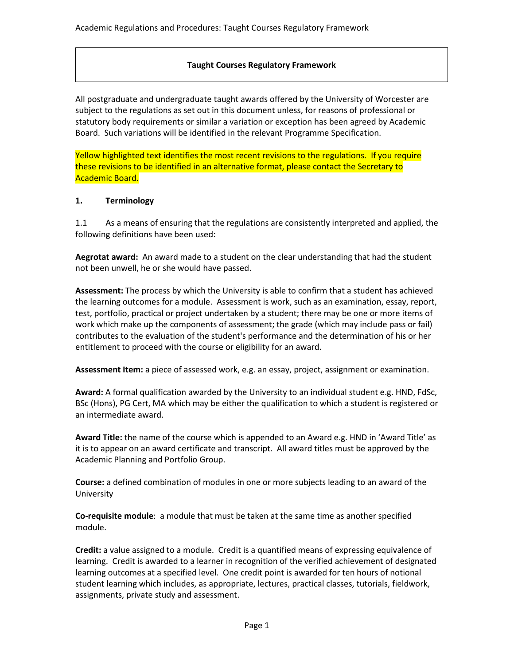## **Taught Courses Regulatory Framework**

All postgraduate and undergraduate taught awards offered by the University of Worcester are subject to the regulations as set out in this document unless, for reasons of professional or statutory body requirements or similar a variation or exception has been agreed by Academic Board. Such variations will be identified in the relevant Programme Specification.

Yellow highlighted text identifies the most recent revisions to the regulations. If you require these revisions to be identified in an alternative format, please contact the Secretary to Academic Board.

#### **1. Terminology**

1.1 As a means of ensuring that the regulations are consistently interpreted and applied, the following definitions have been used:

**Aegrotat award:** An award made to a student on the clear understanding that had the student not been unwell, he or she would have passed.

**Assessment:** The process by which the University is able to confirm that a student has achieved the learning outcomes for a module. Assessment is work, such as an examination, essay, report, test, portfolio, practical or project undertaken by a student; there may be one or more items of work which make up the components of assessment; the grade (which may include pass or fail) contributes to the evaluation of the student's performance and the determination of his or her entitlement to proceed with the course or eligibility for an award.

**Assessment Item:** a piece of assessed work, e.g. an essay, project, assignment or examination.

**Award:** A formal qualification awarded by the University to an individual student e.g. HND, FdSc, BSc (Hons), PG Cert, MA which may be either the qualification to which a student is registered or an intermediate award.

**Award Title:** the name of the course which is appended to an Award e.g. HND in 'Award Title' as it is to appear on an award certificate and transcript. All award titles must be approved by the Academic Planning and Portfolio Group.

**Course:** a defined combination of modules in one or more subjects leading to an award of the University

**Co-requisite module**: a module that must be taken at the same time as another specified module.

**Credit:** a value assigned to a module. Credit is a quantified means of expressing equivalence of learning. Credit is awarded to a learner in recognition of the verified achievement of designated learning outcomes at a specified level. One credit point is awarded for ten hours of notional student learning which includes, as appropriate, lectures, practical classes, tutorials, fieldwork, assignments, private study and assessment.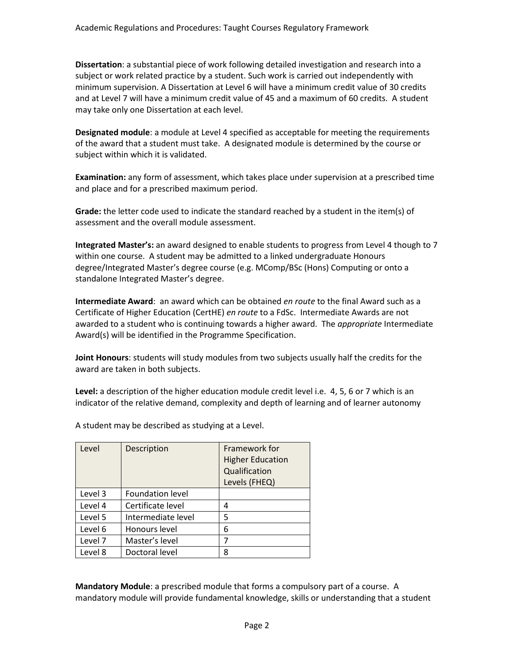**Dissertation**: a substantial piece of work following detailed investigation and research into a subject or work related practice by a student. Such work is carried out independently with minimum supervision. A Dissertation at Level 6 will have a minimum credit value of 30 credits and at Level 7 will have a minimum credit value of 45 and a maximum of 60 credits. A student may take only one Dissertation at each level.

**Designated module**: a module at Level 4 specified as acceptable for meeting the requirements of the award that a student must take. A designated module is determined by the course or subject within which it is validated.

**Examination:** any form of assessment, which takes place under supervision at a prescribed time and place and for a prescribed maximum period.

**Grade:** the letter code used to indicate the standard reached by a student in the item(s) of assessment and the overall module assessment.

**Integrated Master's:** an award designed to enable students to progress from Level 4 though to 7 within one course. A student may be admitted to a linked undergraduate Honours degree/Integrated Master's degree course (e.g. MComp/BSc (Hons) Computing or onto a standalone Integrated Master's degree.

**Intermediate Award**: an award which can be obtained *en route* to the final Award such as a Certificate of Higher Education (CertHE) *en route* to a FdSc. Intermediate Awards are not awarded to a student who is continuing towards a higher award. The *appropriate* Intermediate Award(s) will be identified in the Programme Specification.

**Joint Honours**: students will study modules from two subjects usually half the credits for the award are taken in both subjects.

**Level:** a description of the higher education module credit level i.e. 4, 5, 6 or 7 which is an indicator of the relative demand, complexity and depth of learning and of learner autonomy

| Level   | Description             | Framework for<br><b>Higher Education</b><br>Qualification<br>Levels (FHEQ) |
|---------|-------------------------|----------------------------------------------------------------------------|
| Level 3 | <b>Foundation level</b> |                                                                            |
| Level 4 | Certificate level       | 4                                                                          |
| Level 5 | Intermediate level      | 5                                                                          |
| Level 6 | Honours level           | 6                                                                          |
| Level 7 | Master's level          | 7                                                                          |
| Level 8 | Doctoral level          | 8                                                                          |

A student may be described as studying at a Level.

**Mandatory Module**: a prescribed module that forms a compulsory part of a course. A mandatory module will provide fundamental knowledge, skills or understanding that a student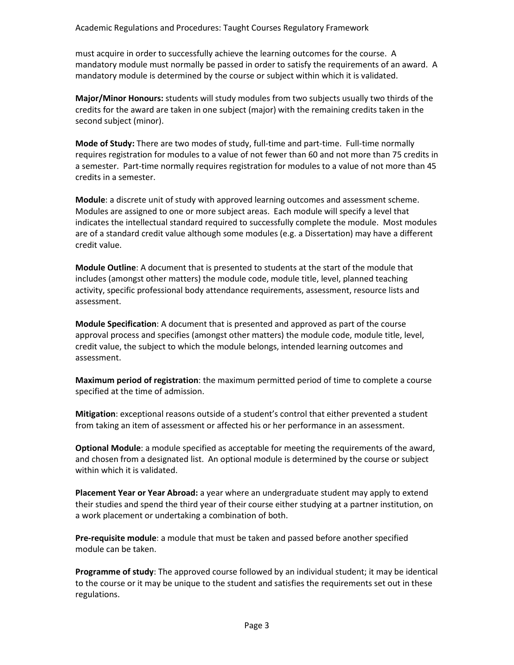must acquire in order to successfully achieve the learning outcomes for the course. A mandatory module must normally be passed in order to satisfy the requirements of an award. A mandatory module is determined by the course or subject within which it is validated.

**Major/Minor Honours:** students will study modules from two subjects usually two thirds of the credits for the award are taken in one subject (major) with the remaining credits taken in the second subject (minor).

**Mode of Study:** There are two modes of study, full-time and part-time. Full-time normally requires registration for modules to a value of not fewer than 60 and not more than 75 credits in a semester. Part-time normally requires registration for modules to a value of not more than 45 credits in a semester.

**Module**: a discrete unit of study with approved learning outcomes and assessment scheme. Modules are assigned to one or more subject areas. Each module will specify a level that indicates the intellectual standard required to successfully complete the module. Most modules are of a standard credit value although some modules (e.g. a Dissertation) may have a different credit value.

**Module Outline**: A document that is presented to students at the start of the module that includes (amongst other matters) the module code, module title, level, planned teaching activity, specific professional body attendance requirements, assessment, resource lists and assessment.

**Module Specification**: A document that is presented and approved as part of the course approval process and specifies (amongst other matters) the module code, module title, level, credit value, the subject to which the module belongs, intended learning outcomes and assessment.

**Maximum period of registration**: the maximum permitted period of time to complete a course specified at the time of admission.

**Mitigation**: exceptional reasons outside of a student's control that either prevented a student from taking an item of assessment or affected his or her performance in an assessment.

**Optional Module**: a module specified as acceptable for meeting the requirements of the award, and chosen from a designated list. An optional module is determined by the course or subject within which it is validated.

**Placement Year or Year Abroad:** a year where an undergraduate student may apply to extend their studies and spend the third year of their course either studying at a partner institution, on a work placement or undertaking a combination of both.

**Pre-requisite module**: a module that must be taken and passed before another specified module can be taken.

**Programme of study**: The approved course followed by an individual student; it may be identical to the course or it may be unique to the student and satisfies the requirements set out in these regulations.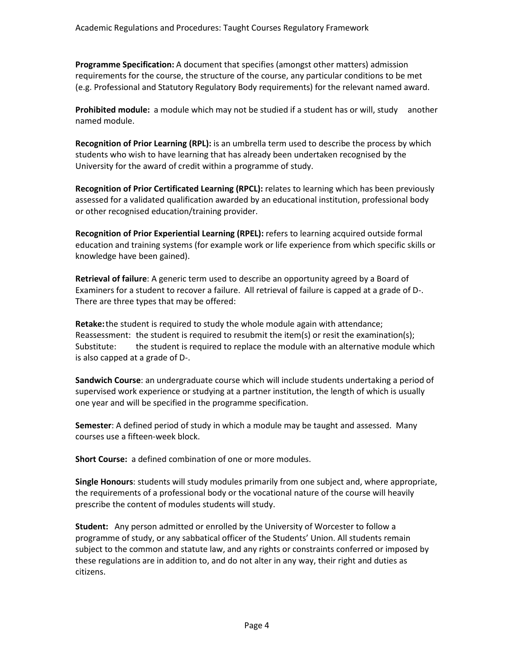**Programme Specification:** A document that specifies (amongst other matters) admission requirements for the course, the structure of the course, any particular conditions to be met (e.g. Professional and Statutory Regulatory Body requirements) for the relevant named award.

**Prohibited module:** a module which may not be studied if a student has or will, study another named module.

**Recognition of Prior Learning (RPL):** is an umbrella term used to describe the process by which students who wish to have learning that has already been undertaken recognised by the University for the award of credit within a programme of study.

**Recognition of Prior Certificated Learning (RPCL):** relates to learning which has been previously assessed for a validated qualification awarded by an educational institution, professional body or other recognised education/training provider.

**Recognition of Prior Experiential Learning (RPEL):** refers to learning acquired outside formal education and training systems (for example work or life experience from which specific skills or knowledge have been gained).

**Retrieval of failure**: A generic term used to describe an opportunity agreed by a Board of Examiners for a student to recover a failure. All retrieval of failure is capped at a grade of D-. There are three types that may be offered:

**Retake:**the student is required to study the whole module again with attendance; Reassessment: the student is required to resubmit the item(s) or resit the examination(s); Substitute: the student is required to replace the module with an alternative module which is also capped at a grade of D-.

**Sandwich Course**: an undergraduate course which will include students undertaking a period of supervised work experience or studying at a partner institution, the length of which is usually one year and will be specified in the programme specification.

**Semester**: A defined period of study in which a module may be taught and assessed. Many courses use a fifteen-week block.

**Short Course:** a defined combination of one or more modules.

**Single Honours**: students will study modules primarily from one subject and, where appropriate, the requirements of a professional body or the vocational nature of the course will heavily prescribe the content of modules students will study.

**Student:** Any person admitted or enrolled by the University of Worcester to follow a programme of study, or any sabbatical officer of the Students' Union. All students remain subject to the common and statute law, and any rights or constraints conferred or imposed by these regulations are in addition to, and do not alter in any way, their right and duties as citizens.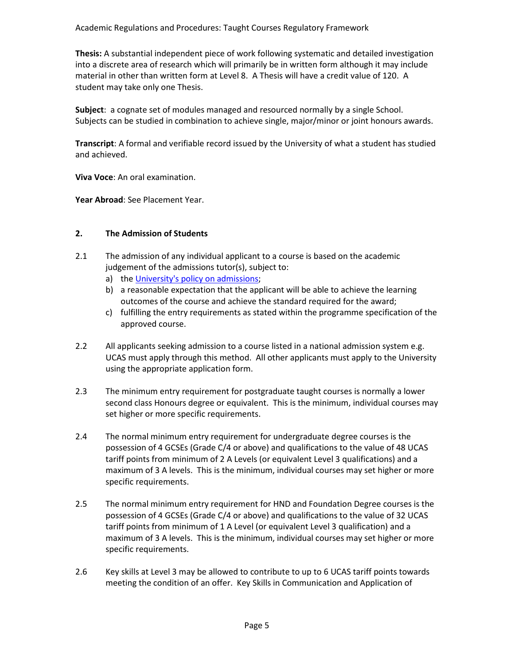**Thesis:** A substantial independent piece of work following systematic and detailed investigation into a discrete area of research which will primarily be in written form although it may include material in other than written form at Level 8. A Thesis will have a credit value of 120. A student may take only one Thesis.

**Subject**: a cognate set of modules managed and resourced normally by a single School. Subjects can be studied in combination to achieve single, major/minor or joint honours awards.

**Transcript**: A formal and verifiable record issued by the University of what a student has studied and achieved.

**Viva Voce**: An oral examination.

**Year Abroad**: See Placement Year.

### **2. The Admission of Students**

- 2.1 The admission of any individual applicant to a course is based on the academic judgement of the admissions tutor(s), subject to:
	- a) the [University's policy on admissions;](http://www.worcester.ac.uk/registryservices/documents/AdmissionsPolicy.pdf)
	- b) a reasonable expectation that the applicant will be able to achieve the learning outcomes of the course and achieve the standard required for the award;
	- c) fulfilling the entry requirements as stated within the programme specification of the approved course.
- 2.2 All applicants seeking admission to a course listed in a national admission system e.g. UCAS must apply through this method. All other applicants must apply to the University using the appropriate application form.
- 2.3 The minimum entry requirement for postgraduate taught courses is normally a lower second class Honours degree or equivalent. This is the minimum, individual courses may set higher or more specific requirements.
- 2.4 The normal minimum entry requirement for undergraduate degree courses is the possession of 4 GCSEs (Grade C/4 or above) and qualifications to the value of 48 UCAS tariff points from minimum of 2 A Levels (or equivalent Level 3 qualifications) and a maximum of 3 A levels. This is the minimum, individual courses may set higher or more specific requirements.
- 2.5 The normal minimum entry requirement for HND and Foundation Degree courses is the possession of 4 GCSEs (Grade C/4 or above) and qualifications to the value of 32 UCAS tariff points from minimum of 1 A Level (or equivalent Level 3 qualification) and a maximum of 3 A levels. This is the minimum, individual courses may set higher or more specific requirements.
- 2.6 Key skills at Level 3 may be allowed to contribute to up to 6 UCAS tariff points towards meeting the condition of an offer. Key Skills in Communication and Application of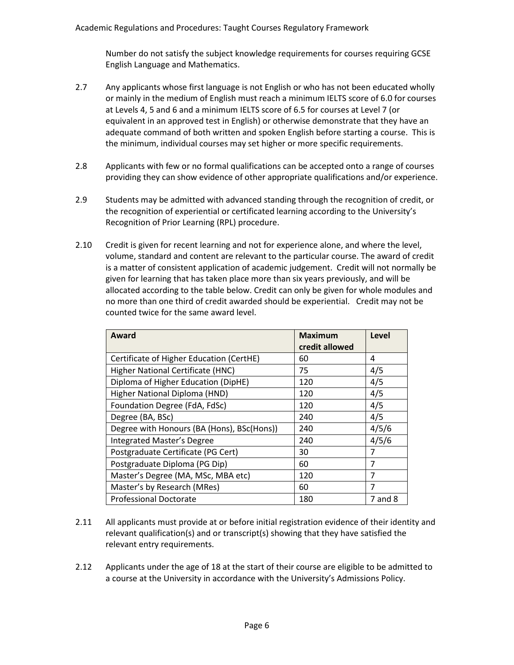Number do not satisfy the subject knowledge requirements for courses requiring GCSE English Language and Mathematics.

- 2.7 Any applicants whose first language is not English or who has not been educated wholly or mainly in the medium of English must reach a minimum IELTS score of 6.0 for courses at Levels 4, 5 and 6 and a minimum IELTS score of 6.5 for courses at Level 7 (or equivalent in an approved test in English) or otherwise demonstrate that they have an adequate command of both written and spoken English before starting a course. This is the minimum, individual courses may set higher or more specific requirements.
- 2.8 Applicants with few or no formal qualifications can be accepted onto a range of courses providing they can show evidence of other appropriate qualifications and/or experience.
- 2.9 Students may be admitted with advanced standing through the recognition of credit, or the recognition of experiential or certificated learning according to the University's Recognition of Prior Learning (RPL) procedure.
- 2.10 Credit is given for recent learning and not for experience alone, and where the level, volume, standard and content are relevant to the particular course. The award of credit is a matter of consistent application of academic judgement. Credit will not normally be given for learning that has taken place more than six years previously, and will be allocated according to the table below. Credit can only be given for whole modules and no more than one third of credit awarded should be experiential. Credit may not be counted twice for the same award level.

| Award                                      | <b>Maximum</b><br>credit allowed | Level          |
|--------------------------------------------|----------------------------------|----------------|
| Certificate of Higher Education (CertHE)   | 60                               | 4              |
| Higher National Certificate (HNC)          | 75                               | 4/5            |
| Diploma of Higher Education (DipHE)        | 120                              | 4/5            |
| Higher National Diploma (HND)              | 120                              | 4/5            |
| Foundation Degree (FdA, FdSc)              | 120                              | 4/5            |
| Degree (BA, BSc)                           | 240                              | 4/5            |
| Degree with Honours (BA (Hons), BSc(Hons)) | 240                              | 4/5/6          |
| <b>Integrated Master's Degree</b>          | 240                              | 4/5/6          |
| Postgraduate Certificate (PG Cert)         | 30                               | 7              |
| Postgraduate Diploma (PG Dip)              | 60                               | 7              |
| Master's Degree (MA, MSc, MBA etc)         | 120                              | $\overline{7}$ |
| Master's by Research (MRes)                | 60                               | 7              |
| <b>Professional Doctorate</b>              | 180                              | 7 and 8        |

- 2.11 All applicants must provide at or before initial registration evidence of their identity and relevant qualification(s) and or transcript(s) showing that they have satisfied the relevant entry requirements.
- 2.12 Applicants under the age of 18 at the start of their course are eligible to be admitted to a course at the University in accordance with the University's Admissions Policy.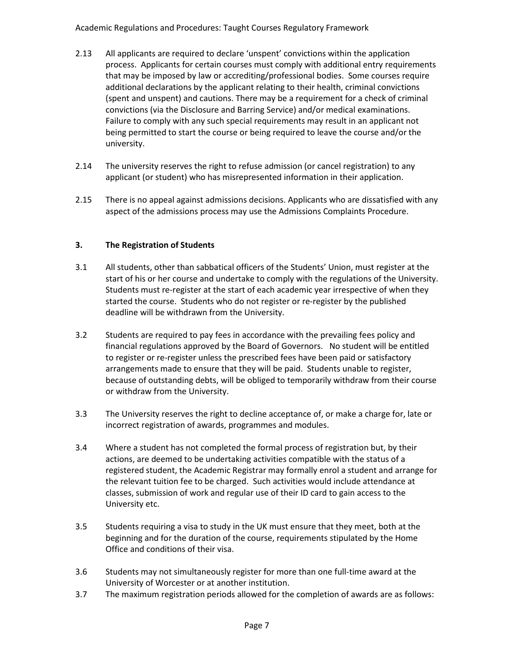- 2.13 All applicants are required to declare 'unspent' convictions within the application process. Applicants for certain courses must comply with additional entry requirements that may be imposed by law or accrediting/professional bodies. Some courses require additional declarations by the applicant relating to their health, criminal convictions (spent and unspent) and cautions. There may be a requirement for a check of criminal convictions (via the Disclosure and Barring Service) and/or medical examinations. Failure to comply with any such special requirements may result in an applicant not being permitted to start the course or being required to leave the course and/or the university.
- 2.14 The university reserves the right to refuse admission (or cancel registration) to any applicant (or student) who has misrepresented information in their application.
- 2.15 There is no appeal against admissions decisions. Applicants who are dissatisfied with any aspect of the admissions process may use the Admissions Complaints Procedure.

## **3. The Registration of Students**

- 3.1 All students, other than sabbatical officers of the Students' Union, must register at the start of his or her course and undertake to comply with the regulations of the University. Students must re-register at the start of each academic year irrespective of when they started the course. Students who do not register or re-register by the published deadline will be withdrawn from the University.
- 3.2 Students are required to pay fees in accordance with the prevailing fees policy and financial regulations approved by the Board of Governors. No student will be entitled to register or re-register unless the prescribed fees have been paid or satisfactory arrangements made to ensure that they will be paid. Students unable to register, because of outstanding debts, will be obliged to temporarily withdraw from their course or withdraw from the University.
- 3.3 The University reserves the right to decline acceptance of, or make a charge for, late or incorrect registration of awards, programmes and modules.
- 3.4 Where a student has not completed the formal process of registration but, by their actions, are deemed to be undertaking activities compatible with the status of a registered student, the Academic Registrar may formally enrol a student and arrange for the relevant tuition fee to be charged. Such activities would include attendance at classes, submission of work and regular use of their ID card to gain access to the University etc.
- 3.5 Students requiring a visa to study in the UK must ensure that they meet, both at the beginning and for the duration of the course, requirements stipulated by the Home Office and conditions of their visa.
- 3.6 Students may not simultaneously register for more than one full-time award at the University of Worcester or at another institution.
- 3.7 The maximum registration periods allowed for the completion of awards are as follows: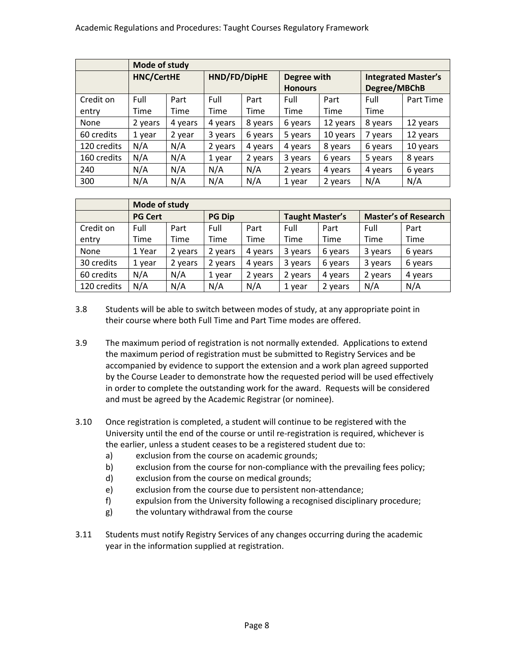|             | Mode of study     |         |              |         |                |          |                            |           |
|-------------|-------------------|---------|--------------|---------|----------------|----------|----------------------------|-----------|
|             | <b>HNC/CertHE</b> |         | HND/FD/DipHE |         | Degree with    |          | <b>Integrated Master's</b> |           |
|             |                   |         |              |         | <b>Honours</b> |          | Degree/MBChB               |           |
| Credit on   | Full              | Part    | Full         | Part    | Full           | Part     | Full                       | Part Time |
| entry       | Time              | Time    | Time         | Time    | <b>Time</b>    | Time     | Time                       |           |
| None        | 2 years           | 4 years | 4 years      | 8 years | 6 years        | 12 years | 8 years                    | 12 years  |
| 60 credits  | 1 year            | 2 year  | 3 years      | 6 years | 5 years        | 10 years | 7 years                    | 12 years  |
| 120 credits | N/A               | N/A     | 2 years      | 4 years | 4 years        | 8 years  | 6 years                    | 10 years  |
| 160 credits | N/A               | N/A     | 1 year       | 2 years | 3 years        | 6 years  | 5 years                    | 8 years   |
| 240         | N/A               | N/A     | N/A          | N/A     | 2 years        | 4 years  | 4 years                    | 6 years   |
| 300         | N/A               | N/A     | N/A          | N/A     | 1 year         | 2 years  | N/A                        | N/A       |

|             | Mode of study  |               |         |                        |         |                             |         |         |
|-------------|----------------|---------------|---------|------------------------|---------|-----------------------------|---------|---------|
|             | <b>PG Cert</b> | <b>PG Dip</b> |         | <b>Taught Master's</b> |         | <b>Master's of Research</b> |         |         |
| Credit on   | Full           | Part          | Full    | Part                   | Full    | Part                        | Full    | Part    |
| entry       | Time           | Time          | Time    | Time                   | Time    | <b>Time</b>                 | Time    | Time    |
| None        | 1 Year         | 2 years       | 2 years | 4 years                | 3 years | 6 years                     | 3 years | 6 years |
| 30 credits  | 1 year         | 2 years       | 2 years | 4 years                | 3 years | 6 years                     | 3 years | 6 years |
| 60 credits  | N/A            | N/A           | 1 year  | 2 years                | 2 years | 4 years                     | 2 years | 4 years |
| 120 credits | N/A            | N/A           | N/A     | N/A                    | 1 year  | 2 years                     | N/A     | N/A     |

- 3.8 Students will be able to switch between modes of study, at any appropriate point in their course where both Full Time and Part Time modes are offered.
- 3.9 The maximum period of registration is not normally extended. Applications to extend the maximum period of registration must be submitted to Registry Services and be accompanied by evidence to support the extension and a work plan agreed supported by the Course Leader to demonstrate how the requested period will be used effectively in order to complete the outstanding work for the award. Requests will be considered and must be agreed by the Academic Registrar (or nominee).
- 3.10 Once registration is completed, a student will continue to be registered with the University until the end of the course or until re-registration is required, whichever is the earlier, unless a student ceases to be a registered student due to:
	- a) exclusion from the course on academic grounds;
	- b) exclusion from the course for non-compliance with the prevailing fees policy;
	- d) exclusion from the course on medical grounds;
	- e) exclusion from the course due to persistent non-attendance;
	- f) expulsion from the University following a recognised disciplinary procedure;
	- g) the voluntary withdrawal from the course
- 3.11 Students must notify Registry Services of any changes occurring during the academic year in the information supplied at registration.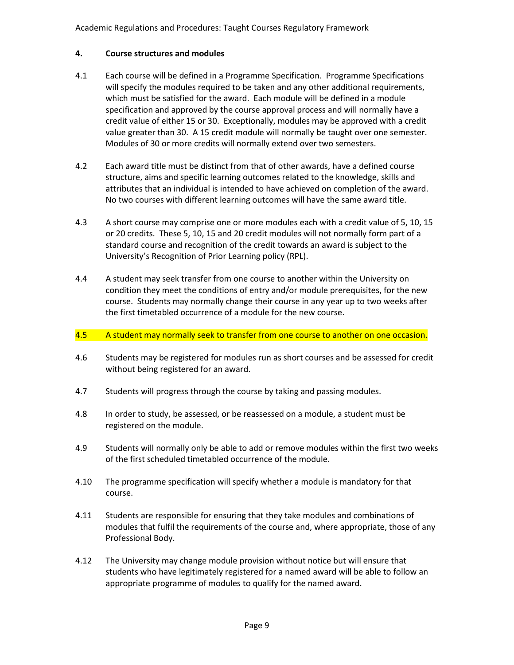## **4. Course structures and modules**

- 4.1 Each course will be defined in a Programme Specification. Programme Specifications will specify the modules required to be taken and any other additional requirements, which must be satisfied for the award. Each module will be defined in a module specification and approved by the course approval process and will normally have a credit value of either 15 or 30. Exceptionally, modules may be approved with a credit value greater than 30. A 15 credit module will normally be taught over one semester. Modules of 30 or more credits will normally extend over two semesters.
- 4.2 Each award title must be distinct from that of other awards, have a defined course structure, aims and specific learning outcomes related to the knowledge, skills and attributes that an individual is intended to have achieved on completion of the award. No two courses with different learning outcomes will have the same award title.
- 4.3 A short course may comprise one or more modules each with a credit value of 5, 10, 15 or 20 credits. These 5, 10, 15 and 20 credit modules will not normally form part of a standard course and recognition of the credit towards an award is subject to the University's Recognition of Prior Learning policy (RPL).
- 4.4 A student may seek transfer from one course to another within the University on condition they meet the conditions of entry and/or module prerequisites, for the new course. Students may normally change their course in any year up to two weeks after the first timetabled occurrence of a module for the new course.

#### 4.5 A student may normally seek to transfer from one course to another on one occasion.

- 4.6 Students may be registered for modules run as short courses and be assessed for credit without being registered for an award.
- 4.7 Students will progress through the course by taking and passing modules.
- 4.8 In order to study, be assessed, or be reassessed on a module, a student must be registered on the module.
- 4.9 Students will normally only be able to add or remove modules within the first two weeks of the first scheduled timetabled occurrence of the module.
- 4.10 The programme specification will specify whether a module is mandatory for that course.
- 4.11 Students are responsible for ensuring that they take modules and combinations of modules that fulfil the requirements of the course and, where appropriate, those of any Professional Body.
- 4.12 The University may change module provision without notice but will ensure that students who have legitimately registered for a named award will be able to follow an appropriate programme of modules to qualify for the named award.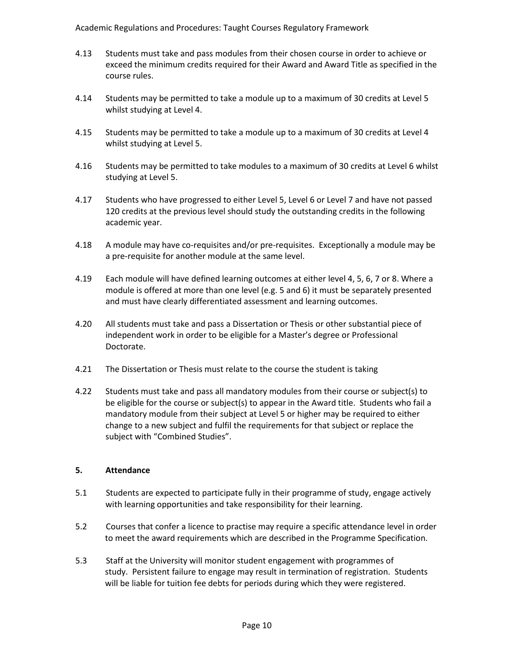- 4.13 Students must take and pass modules from their chosen course in order to achieve or exceed the minimum credits required for their Award and Award Title as specified in the course rules.
- 4.14 Students may be permitted to take a module up to a maximum of 30 credits at Level 5 whilst studying at Level 4.
- 4.15 Students may be permitted to take a module up to a maximum of 30 credits at Level 4 whilst studying at Level 5.
- 4.16 Students may be permitted to take modules to a maximum of 30 credits at Level 6 whilst studying at Level 5.
- 4.17 Students who have progressed to either Level 5, Level 6 or Level 7 and have not passed 120 credits at the previous level should study the outstanding credits in the following academic year.
- 4.18 A module may have co-requisites and/or pre-requisites. Exceptionally a module may be a pre-requisite for another module at the same level.
- 4.19 Each module will have defined learning outcomes at either level 4, 5, 6, 7 or 8. Where a module is offered at more than one level (e.g. 5 and 6) it must be separately presented and must have clearly differentiated assessment and learning outcomes.
- 4.20 All students must take and pass a Dissertation or Thesis or other substantial piece of independent work in order to be eligible for a Master's degree or Professional Doctorate.
- 4.21 The Dissertation or Thesis must relate to the course the student is taking
- 4.22 Students must take and pass all mandatory modules from their course or subject(s) to be eligible for the course or subject(s) to appear in the Award title. Students who fail a mandatory module from their subject at Level 5 or higher may be required to either change to a new subject and fulfil the requirements for that subject or replace the subject with "Combined Studies".

#### **5. Attendance**

- 5.1 Students are expected to participate fully in their programme of study, engage actively with learning opportunities and take responsibility for their learning.
- 5.2 Courses that confer a licence to practise may require a specific attendance level in order to meet the award requirements which are described in the Programme Specification.
- 5.3 Staff at the University will monitor student engagement with programmes of study. Persistent failure to engage may result in termination of registration. Students will be liable for tuition fee debts for periods during which they were registered.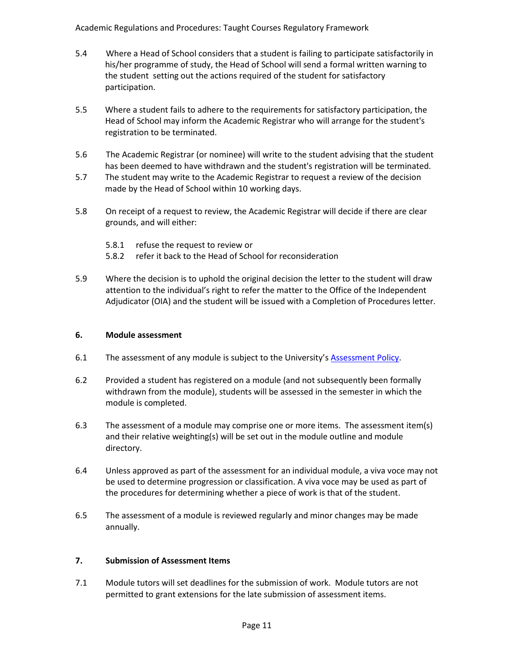- 5.4 Where a Head of School considers that a student is failing to participate satisfactorily in his/her programme of study, the Head of School will send a formal written warning to the student setting out the actions required of the student for satisfactory participation.
- 5.5 Where a student fails to adhere to the requirements for satisfactory participation, the Head of School may inform the Academic Registrar who will arrange for the student's registration to be terminated.
- 5.6 The Academic Registrar (or nominee) will write to the student advising that the student has been deemed to have withdrawn and the student's registration will be terminated.
- 5.7 The student may write to the Academic Registrar to request a review of the decision made by the Head of School within 10 working days.
- 5.8 On receipt of a request to review, the Academic Registrar will decide if there are clear grounds, and will either:
	- 5.8.1 refuse the request to review or
	- 5.8.2 refer it back to the Head of School for reconsideration
- 5.9 Where the decision is to uphold the original decision the letter to the student will draw attention to the individual's right to refer the matter to the Office of the Independent Adjudicator (OIA) and the student will be issued with a Completion of Procedures letter.

#### **6. Module assessment**

- 6.1 The assessment of any module is subject to the University's [Assessment Policy.](http://www.worc.ac.uk/aqu/documents/AssessmentPolicy.pdf)
- 6.2 Provided a student has registered on a module (and not subsequently been formally withdrawn from the module), students will be assessed in the semester in which the module is completed.
- 6.3 The assessment of a module may comprise one or more items. The assessment item(s) and their relative weighting(s) will be set out in the module outline and module directory.
- 6.4 Unless approved as part of the assessment for an individual module, a viva voce may not be used to determine progression or classification. A viva voce may be used as part of the procedures for determining whether a piece of work is that of the student.
- 6.5 The assessment of a module is reviewed regularly and minor changes may be made annually.

## **7. Submission of Assessment Items**

7.1 Module tutors will set deadlines for the submission of work. Module tutors are not permitted to grant extensions for the late submission of assessment items.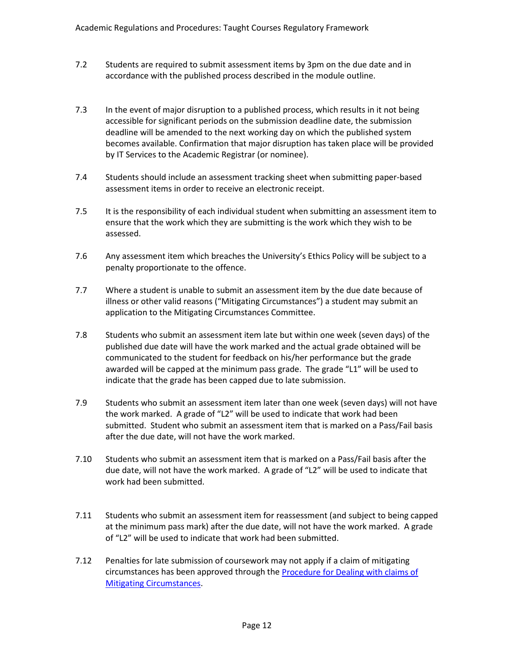- 7.2 Students are required to submit assessment items by 3pm on the due date and in accordance with the published process described in the module outline.
- 7.3 In the event of major disruption to a published process, which results in it not being accessible for significant periods on the submission deadline date, the submission deadline will be amended to the next working day on which the published system becomes available. Confirmation that major disruption has taken place will be provided by IT Services to the Academic Registrar (or nominee).
- 7.4 Students should include an assessment tracking sheet when submitting paper-based assessment items in order to receive an electronic receipt.
- 7.5 It is the responsibility of each individual student when submitting an assessment item to ensure that the work which they are submitting is the work which they wish to be assessed.
- 7.6 Any assessment item which breaches the University's [Ethics Policy](http://www.worcester.ac.uk/researchportal/documents/Ethics_Policy_Aprroved_by_AB_8_10_14.pdf) will be subject to a penalty proportionate to the offence.
- 7.7 Where a student is unable to submit an assessment item by the due date because of illness or other valid reasons ("Mitigating Circumstances") a student may submit an application to the Mitigating Circumstances Committee.
- 7.8 Students who submit an assessment item late but within one week (seven days) of the published due date will have the work marked and the actual grade obtained will be communicated to the student for feedback on his/her performance but the grade awarded will be capped at the minimum pass grade. The grade "L1" will be used to indicate that the grade has been capped due to late submission.
- 7.9 Students who submit an assessment item later than one week (seven days) will not have the work marked. A grade of "L2" will be used to indicate that work had been submitted. Student who submit an assessment item that is marked on a Pass/Fail basis after the due date, will not have the work marked.
- 7.10 Students who submit an assessment item that is marked on a Pass/Fail basis after the due date, will not have the work marked. A grade of "L2" will be used to indicate that work had been submitted.
- 7.11 Students who submit an assessment item for reassessment (and subject to being capped at the minimum pass mark) after the due date, will not have the work marked. A grade of "L2" will be used to indicate that work had been submitted.
- 7.12 Penalties for late submission of coursework may not apply if a claim of mitigating circumstances has been approved through the [Procedure for Dealing with claims of](http://www.worcester.ac.uk/registryservices/documents/Proceduresformitigatingcircumstances.pdf)  [Mitigating Circumstances.](http://www.worcester.ac.uk/registryservices/documents/Proceduresformitigatingcircumstances.pdf)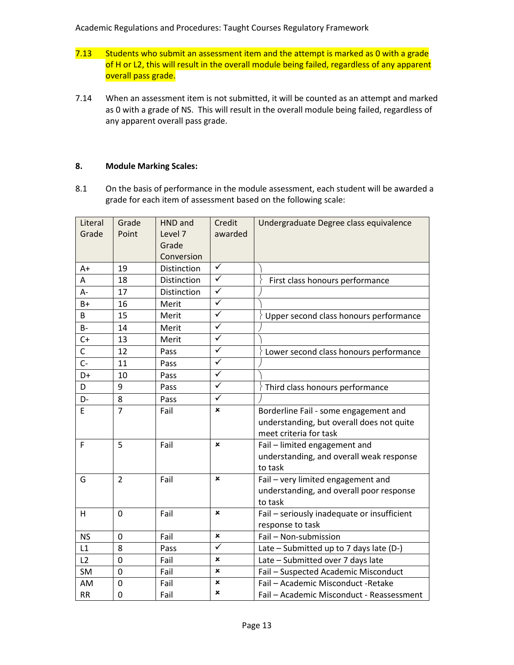- 7.13 Students who submit an assessment item and the attempt is marked as 0 with a grade of H or L2, this will result in the overall module being failed, regardless of any apparent overall pass grade.
- 7.14 When an assessment item is not submitted, it will be counted as an attempt and marked as 0 with a grade of NS. This will result in the overall module being failed, regardless of any apparent overall pass grade.

#### **8. Module Marking Scales:**

8.1 On the basis of performance in the module assessment, each student will be awarded a grade for each item of assessment based on the following scale:

| Literal     | Grade          | HND and     | Credit                  | Undergraduate Degree class equivalence      |
|-------------|----------------|-------------|-------------------------|---------------------------------------------|
| Grade       | Point          | Level 7     | awarded                 |                                             |
|             |                | Grade       |                         |                                             |
|             |                | Conversion  |                         |                                             |
| A+          | 19             | Distinction | ✓                       |                                             |
| А           | 18             | Distinction | $\checkmark$            | First class honours performance             |
| А-          | 17             | Distinction | $\checkmark$            |                                             |
| $B+$        | 16             | Merit       | $\overline{\checkmark}$ |                                             |
| B           | 15             | Merit       | $\checkmark$            | Upper second class honours performance      |
| <b>B-</b>   | 14             | Merit       | $\checkmark$            |                                             |
| $C+$        | 13             | Merit       | $\overline{\checkmark}$ |                                             |
| $\mathsf C$ | 12             | Pass        | $\overline{\checkmark}$ | Lower second class honours performance      |
| $C -$       | 11             | Pass        | ✓                       |                                             |
| D+          | 10             | Pass        | $\overline{\checkmark}$ |                                             |
| D           | 9              | Pass        | ✓                       | Third class honours performance             |
| D-          | 8              | Pass        | $\checkmark$            |                                             |
| E           | $\overline{7}$ | Fail        | ×                       | Borderline Fail - some engagement and       |
|             |                |             |                         | understanding, but overall does not quite   |
|             |                |             |                         | meet criteria for task                      |
| F           | 5              | Fail        | ×                       | Fail - limited engagement and               |
|             |                |             |                         | understanding, and overall weak response    |
|             |                |             |                         | to task                                     |
| G           | $\overline{2}$ | Fail        | ×                       | Fail - very limited engagement and          |
|             |                |             |                         | understanding, and overall poor response    |
|             |                |             |                         | to task                                     |
| н           | 0              | Fail        | ×                       | Fail - seriously inadequate or insufficient |
|             |                |             |                         | response to task                            |
| <b>NS</b>   | 0              | Fail        | ×                       | Fail - Non-submission                       |
| L1          | 8              | Pass        | ✓                       | Late - Submitted up to 7 days late (D-)     |
| L2          | 0              | Fail        | ×                       | Late - Submitted over 7 days late           |
| <b>SM</b>   | $\overline{0}$ | Fail        | ×                       | Fail - Suspected Academic Misconduct        |
| AM          | 0              | Fail        | ×                       | Fail - Academic Misconduct - Retake         |
| <b>RR</b>   | 0              | Fail        | ×                       | Fail - Academic Misconduct - Reassessment   |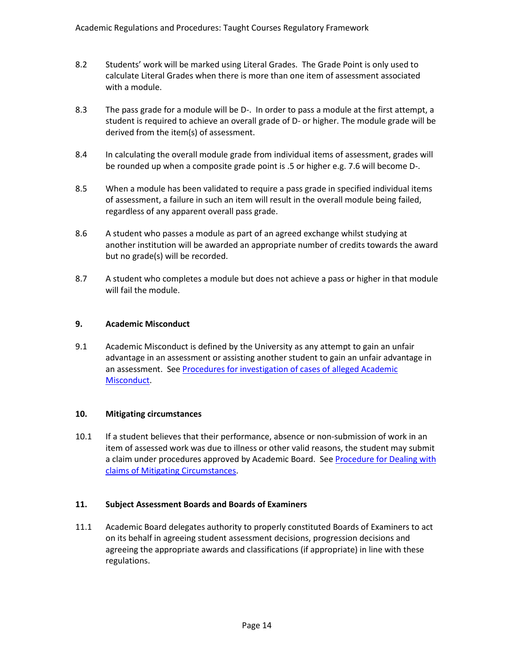- 8.2 Students' work will be marked using Literal Grades. The Grade Point is only used to calculate Literal Grades when there is more than one item of assessment associated with a module.
- 8.3 The pass grade for a module will be D-. In order to pass a module at the first attempt, a student is required to achieve an overall grade of D- or higher. The module grade will be derived from the item(s) of assessment.
- 8.4 In calculating the overall module grade from individual items of assessment, grades will be rounded up when a composite grade point is .5 or higher e.g. 7.6 will become D-.
- 8.5 When a module has been validated to require a pass grade in specified individual items of assessment, a failure in such an item will result in the overall module being failed, regardless of any apparent overall pass grade.
- 8.6 A student who passes a module as part of an agreed exchange whilst studying at another institution will be awarded an appropriate number of credits towards the award but no grade(s) will be recorded.
- 8.7 A student who completes a module but does not achieve a pass or higher in that module will fail the module.

### **9. Academic Misconduct**

9.1 Academic Misconduct is defined by the University as any attempt to gain an unfair advantage in an assessment or assisting another student to gain an unfair advantage in an assessment. See Procedures for investigation of cases of alleged Academic [Misconduct.](http://www.worcester.ac.uk/registryservices/documents/Proceduresforinvestigationofallegedacademicmisconduct.pdf)

#### **10. Mitigating circumstances**

10.1 If a student believes that their performance, absence or non-submission of work in an item of assessed work was due to illness or other valid reasons, the student may submit a claim under procedures approved by Academic Board. Se[e Procedure for Dealing with](http://www.worcester.ac.uk/registryservices/documents/Proceduresformitigatingcircumstances.pdf)  [claims of Mitigating Circumstances.](http://www.worcester.ac.uk/registryservices/documents/Proceduresformitigatingcircumstances.pdf)

#### **11. Subject Assessment Boards and Boards of Examiners**

11.1 Academic Board delegates authority to properly constituted Boards of Examiners to act on its behalf in agreeing student assessment decisions, progression decisions and agreeing the appropriate awards and classifications (if appropriate) in line with these regulations.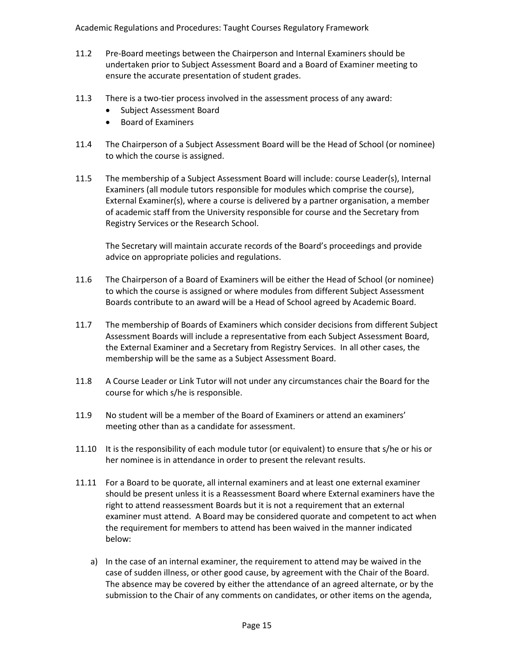- 11.2 Pre-Board meetings between the Chairperson and Internal Examiners should be undertaken prior to Subject Assessment Board and a Board of Examiner meeting to ensure the accurate presentation of student grades.
- 11.3 There is a two-tier process involved in the assessment process of any award:
	- Subject Assessment Board
	- Board of Examiners
- 11.4 The Chairperson of a Subject Assessment Board will be the Head of School (or nominee) to which the course is assigned.
- 11.5 The membership of a Subject Assessment Board will include: course Leader(s), Internal Examiners (all module tutors responsible for modules which comprise the course), External Examiner(s), where a course is delivered by a partner organisation, a member of academic staff from the University responsible for course and the Secretary from Registry Services or the Research School.

The Secretary will maintain accurate records of the Board's proceedings and provide advice on appropriate policies and regulations.

- 11.6 The Chairperson of a Board of Examiners will be either the Head of School (or nominee) to which the course is assigned or where modules from different Subject Assessment Boards contribute to an award will be a Head of School agreed by Academic Board.
- 11.7 The membership of Boards of Examiners which consider decisions from different Subject Assessment Boards will include a representative from each Subject Assessment Board, the External Examiner and a Secretary from Registry Services. In all other cases, the membership will be the same as a Subject Assessment Board.
- 11.8 A Course Leader or Link Tutor will not under any circumstances chair the Board for the course for which s/he is responsible.
- 11.9 No student will be a member of the Board of Examiners or attend an examiners' meeting other than as a candidate for assessment.
- 11.10 It is the responsibility of each module tutor (or equivalent) to ensure that s/he or his or her nominee is in attendance in order to present the relevant results.
- 11.11 For a Board to be quorate, all internal examiners and at least one external examiner should be present unless it is a Reassessment Board where External examiners have the right to attend reassessment Boards but it is not a requirement that an external examiner must attend. A Board may be considered quorate and competent to act when the requirement for members to attend has been waived in the manner indicated below:
	- a) In the case of an internal examiner, the requirement to attend may be waived in the case of sudden illness, or other good cause, by agreement with the Chair of the Board. The absence may be covered by either the attendance of an agreed alternate, or by the submission to the Chair of any comments on candidates, or other items on the agenda,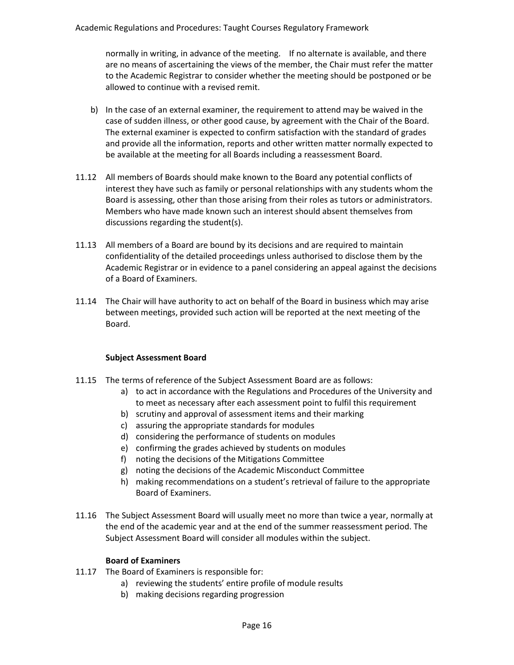normally in writing, in advance of the meeting. If no alternate is available, and there are no means of ascertaining the views of the member, the Chair must refer the matter to the Academic Registrar to consider whether the meeting should be postponed or be allowed to continue with a revised remit.

- b) In the case of an external examiner, the requirement to attend may be waived in the case of sudden illness, or other good cause, by agreement with the Chair of the Board. The external examiner is expected to confirm satisfaction with the standard of grades and provide all the information, reports and other written matter normally expected to be available at the meeting for all Boards including a reassessment Board.
- 11.12 All members of Boards should make known to the Board any potential conflicts of interest they have such as family or personal relationships with any students whom the Board is assessing, other than those arising from their roles as tutors or administrators. Members who have made known such an interest should absent themselves from discussions regarding the student(s).
- 11.13 All members of a Board are bound by its decisions and are required to maintain confidentiality of the detailed proceedings unless authorised to disclose them by the Academic Registrar or in evidence to a panel considering an appeal against the decisions of a Board of Examiners.
- 11.14 The Chair will have authority to act on behalf of the Board in business which may arise between meetings, provided such action will be reported at the next meeting of the Board.

#### **Subject Assessment Board**

- 11.15 The terms of reference of the Subject Assessment Board are as follows:
	- a) to act in accordance with the Regulations and Procedures of the University and to meet as necessary after each assessment point to fulfil this requirement
	- b) scrutiny and approval of assessment items and their marking
	- c) assuring the appropriate standards for modules
	- d) considering the performance of students on modules
	- e) confirming the grades achieved by students on modules
	- f) noting the decisions of the Mitigations Committee
	- g) noting the decisions of the Academic Misconduct Committee
	- h) making recommendations on a student's retrieval of failure to the appropriate Board of Examiners.
- 11.16 The Subject Assessment Board will usually meet no more than twice a year, normally at the end of the academic year and at the end of the summer reassessment period. The Subject Assessment Board will consider all modules within the subject.

#### **Board of Examiners**

- 11.17 The Board of Examiners is responsible for:
	- a) reviewing the students' entire profile of module results
	- b) making decisions regarding progression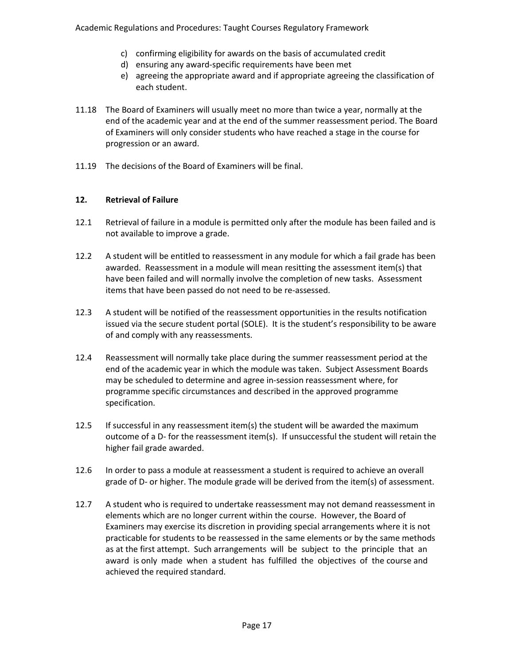- c) confirming eligibility for awards on the basis of accumulated credit
- d) ensuring any award-specific requirements have been met
- e) agreeing the appropriate award and if appropriate agreeing the classification of each student.
- 11.18 The Board of Examiners will usually meet no more than twice a year, normally at the end of the academic year and at the end of the summer reassessment period. The Board of Examiners will only consider students who have reached a stage in the course for progression or an award.
- 11.19 The decisions of the Board of Examiners will be final.

### **12. Retrieval of Failure**

- 12.1 Retrieval of failure in a module is permitted only after the module has been failed and is not available to improve a grade.
- 12.2 A student will be entitled to reassessment in any module for which a fail grade has been awarded. Reassessment in a module will mean resitting the assessment item(s) that have been failed and will normally involve the completion of new tasks. Assessment items that have been passed do not need to be re-assessed.
- 12.3 A student will be notified of the reassessment opportunities in the results notification issued via the secure student portal (SOLE). It is the student's responsibility to be aware of and comply with any reassessments.
- 12.4 Reassessment will normally take place during the summer reassessment period at the end of the academic year in which the module was taken. Subject Assessment Boards may be scheduled to determine and agree in-session reassessment where, for programme specific circumstances and described in the approved programme specification.
- 12.5 If successful in any reassessment item(s) the student will be awarded the maximum outcome of a D- for the reassessment item(s). If unsuccessful the student will retain the higher fail grade awarded.
- 12.6 In order to pass a module at reassessment a student is required to achieve an overall grade of D- or higher. The module grade will be derived from the item(s) of assessment.
- 12.7 A student who is required to undertake reassessment may not demand reassessment in elements which are no longer current within the course. However, the Board of Examiners may exercise its discretion in providing special arrangements where it is not practicable for students to be reassessed in the same elements or by the same methods as at the first attempt. Such arrangements will be subject to the principle that an award is only made when a student has fulfilled the objectives of the course and achieved the required standard.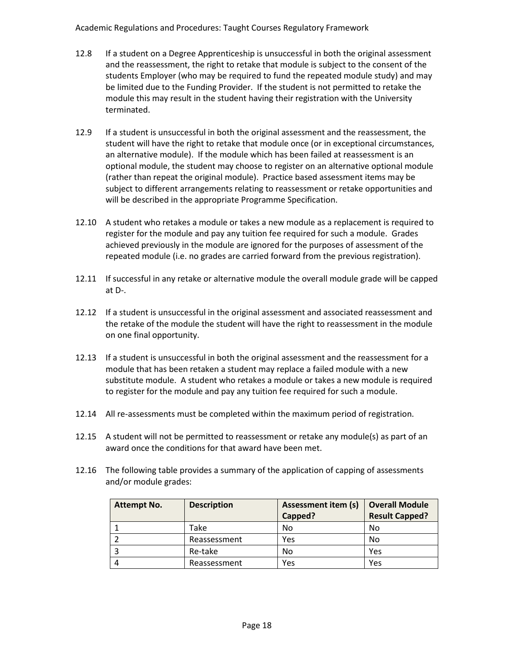- 12.8 If a student on a Degree Apprenticeship is unsuccessful in both the original assessment and the reassessment, the right to retake that module is subject to the consent of the students Employer (who may be required to fund the repeated module study) and may be limited due to the Funding Provider. If the student is not permitted to retake the module this may result in the student having their registration with the University terminated.
- 12.9 If a student is unsuccessful in both the original assessment and the reassessment, the student will have the right to retake that module once (or in exceptional circumstances, an alternative module). If the module which has been failed at reassessment is an optional module, the student may choose to register on an alternative optional module (rather than repeat the original module). Practice based assessment items may be subject to different arrangements relating to reassessment or retake opportunities and will be described in the appropriate Programme Specification.
- 12.10 A student who retakes a module or takes a new module as a replacement is required to register for the module and pay any tuition fee required for such a module. Grades achieved previously in the module are ignored for the purposes of assessment of the repeated module (i.e. no grades are carried forward from the previous registration).
- 12.11 If successful in any retake or alternative module the overall module grade will be capped at D-.
- 12.12 If a student is unsuccessful in the original assessment and associated reassessment and the retake of the module the student will have the right to reassessment in the module on one final opportunity.
- 12.13 If a student is unsuccessful in both the original assessment and the reassessment for a module that has been retaken a student may replace a failed module with a new substitute module. A student who retakes a module or takes a new module is required to register for the module and pay any tuition fee required for such a module.
- 12.14 All re-assessments must be completed within the maximum period of registration.
- 12.15 A student will not be permitted to reassessment or retake any module(s) as part of an award once the conditions for that award have been met.
- 12.16 The following table provides a summary of the application of capping of assessments and/or module grades:

| <b>Attempt No.</b> | <b>Description</b> | <b>Assessment item (s)</b> | <b>Overall Module</b> |
|--------------------|--------------------|----------------------------|-----------------------|
|                    |                    | Capped?                    | <b>Result Capped?</b> |
|                    | Take               | No                         | No                    |
|                    | Reassessment       | Yes                        | No                    |
|                    | Re-take            | No                         | Yes                   |
|                    | Reassessment       | Yes                        | Yes                   |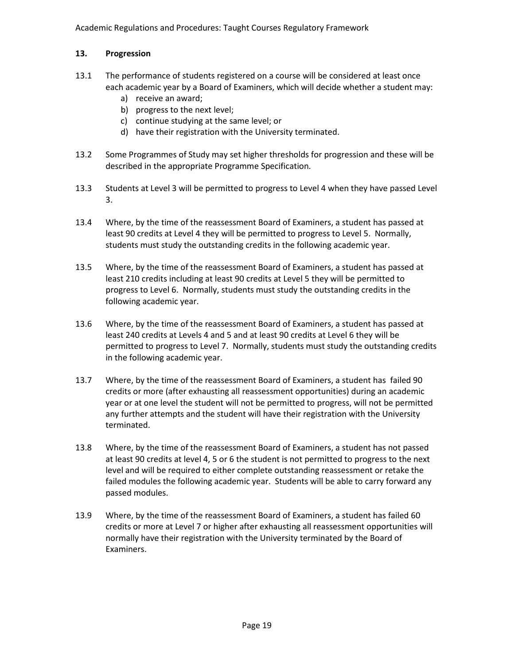## **13. Progression**

- 13.1 The performance of students registered on a course will be considered at least once each academic year by a Board of Examiners, which will decide whether a student may:
	- a) receive an award;
	- b) progress to the next level;
	- c) continue studying at the same level; or
	- d) have their registration with the University terminated.
- 13.2 Some Programmes of Study may set higher thresholds for progression and these will be described in the appropriate Programme Specification.
- 13.3 Students at Level 3 will be permitted to progress to Level 4 when they have passed Level 3.
- 13.4 Where, by the time of the reassessment Board of Examiners, a student has passed at least 90 credits at Level 4 they will be permitted to progress to Level 5. Normally, students must study the outstanding credits in the following academic year.
- 13.5 Where, by the time of the reassessment Board of Examiners, a student has passed at least 210 credits including at least 90 credits at Level 5 they will be permitted to progress to Level 6. Normally, students must study the outstanding credits in the following academic year.
- 13.6 Where, by the time of the reassessment Board of Examiners, a student has passed at least 240 credits at Levels 4 and 5 and at least 90 credits at Level 6 they will be permitted to progress to Level 7. Normally, students must study the outstanding credits in the following academic year.
- 13.7 Where, by the time of the reassessment Board of Examiners, a student has failed 90 credits or more (after exhausting all reassessment opportunities) during an academic year or at one level the student will not be permitted to progress, will not be permitted any further attempts and the student will have their registration with the University terminated.
- 13.8 Where, by the time of the reassessment Board of Examiners, a student has not passed at least 90 credits at level 4, 5 or 6 the student is not permitted to progress to the next level and will be required to either complete outstanding reassessment or retake the failed modules the following academic year. Students will be able to carry forward any passed modules.
- 13.9 Where, by the time of the reassessment Board of Examiners, a student has failed 60 credits or more at Level 7 or higher after exhausting all reassessment opportunities will normally have their registration with the University terminated by the Board of Examiners.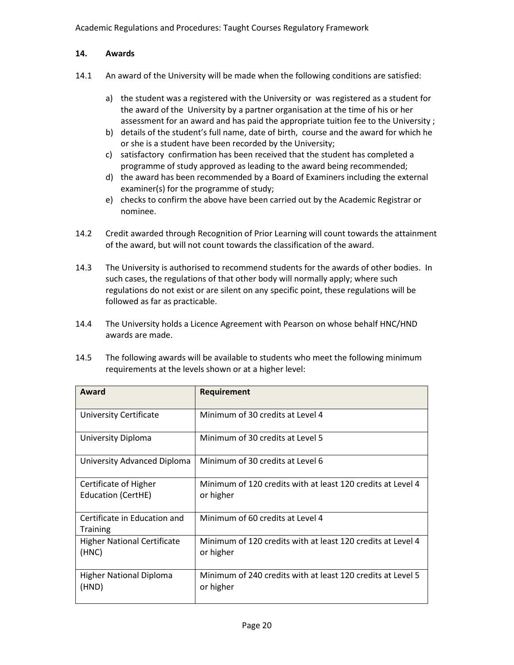## **14. Awards**

- 14.1 An award of the University will be made when the following conditions are satisfied:
	- a) the student was a registered with the University or was registered as a student for the award of the University by a partner organisation at the time of his or her assessment for an award and has paid the appropriate tuition fee to the University ;
	- b) details of the student's full name, date of birth, course and the award for which he or she is a student have been recorded by the University;
	- c) satisfactory confirmation has been received that the student has completed a programme of study approved as leading to the award being recommended;
	- d) the award has been recommended by a Board of Examiners including the external examiner(s) for the programme of study;
	- e) checks to confirm the above have been carried out by the Academic Registrar or nominee.
- 14.2 Credit awarded through Recognition of Prior Learning will count towards the attainment of the award, but will not count towards the classification of the award.
- 14.3 The University is authorised to recommend students for the awards of other bodies. In such cases, the regulations of that other body will normally apply; where such regulations do not exist or are silent on any specific point, these regulations will be followed as far as practicable.
- 14.4 The University holds a Licence Agreement with Pearson on whose behalf HNC/HND awards are made.
- 14.5 The following awards will be available to students who meet the following minimum requirements at the levels shown or at a higher level:

| Award                                           | Requirement                                                              |
|-------------------------------------------------|--------------------------------------------------------------------------|
| <b>University Certificate</b>                   | Minimum of 30 credits at Level 4                                         |
| University Diploma                              | Minimum of 30 credits at Level 5                                         |
| University Advanced Diploma                     | Minimum of 30 credits at Level 6                                         |
| Certificate of Higher                           | Minimum of 120 credits with at least 120 credits at Level 4              |
| <b>Education (CertHE)</b>                       | or higher                                                                |
| Certificate in Education and<br><b>Training</b> | Minimum of 60 credits at Level 4                                         |
| <b>Higher National Certificate</b><br>(HNC)     | Minimum of 120 credits with at least 120 credits at Level 4<br>or higher |
|                                                 |                                                                          |
| <b>Higher National Diploma</b><br>(HND)         | Minimum of 240 credits with at least 120 credits at Level 5<br>or higher |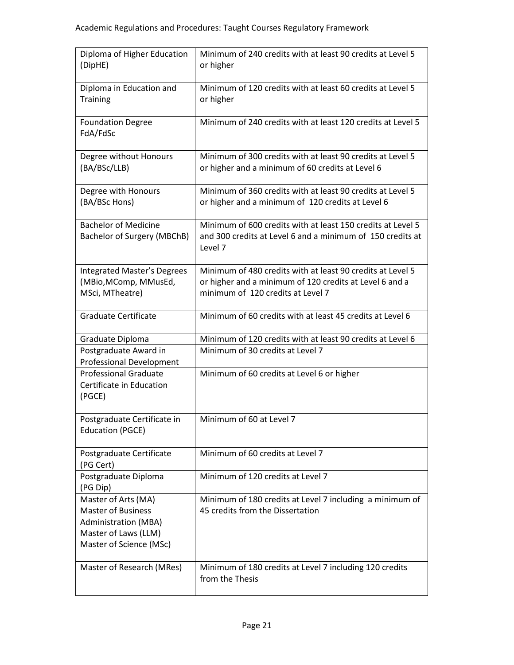| Diploma of Higher Education<br>(DipHE)                                                                                             | Minimum of 240 credits with at least 90 credits at Level 5<br>or higher                                                                                    |
|------------------------------------------------------------------------------------------------------------------------------------|------------------------------------------------------------------------------------------------------------------------------------------------------------|
| Diploma in Education and<br><b>Training</b>                                                                                        | Minimum of 120 credits with at least 60 credits at Level 5<br>or higher                                                                                    |
| <b>Foundation Degree</b><br>FdA/FdSc                                                                                               | Minimum of 240 credits with at least 120 credits at Level 5                                                                                                |
| Degree without Honours<br>(BA/BSc/LLB)                                                                                             | Minimum of 300 credits with at least 90 credits at Level 5<br>or higher and a minimum of 60 credits at Level 6                                             |
| Degree with Honours<br>(BA/BSc Hons)                                                                                               | Minimum of 360 credits with at least 90 credits at Level 5<br>or higher and a minimum of 120 credits at Level 6                                            |
| <b>Bachelor of Medicine</b><br>Bachelor of Surgery (MBChB)                                                                         | Minimum of 600 credits with at least 150 credits at Level 5<br>and 300 credits at Level 6 and a minimum of 150 credits at<br>Level 7                       |
| <b>Integrated Master's Degrees</b><br>(MBio, MComp, MMusEd,<br>MSci, MTheatre)                                                     | Minimum of 480 credits with at least 90 credits at Level 5<br>or higher and a minimum of 120 credits at Level 6 and a<br>minimum of 120 credits at Level 7 |
| <b>Graduate Certificate</b>                                                                                                        | Minimum of 60 credits with at least 45 credits at Level 6                                                                                                  |
| Graduate Diploma                                                                                                                   | Minimum of 120 credits with at least 90 credits at Level 6                                                                                                 |
| Postgraduate Award in<br><b>Professional Development</b>                                                                           | Minimum of 30 credits at Level 7                                                                                                                           |
| <b>Professional Graduate</b><br>Certificate in Education<br>(PGCE)                                                                 | Minimum of 60 credits at Level 6 or higher                                                                                                                 |
| Postgraduate Certificate in<br><b>Education (PGCE)</b>                                                                             | Minimum of 60 at Level 7                                                                                                                                   |
| Postgraduate Certificate<br>(PG Cert)                                                                                              | Minimum of 60 credits at Level 7                                                                                                                           |
| Postgraduate Diploma<br>(PG Dip)                                                                                                   | Minimum of 120 credits at Level 7                                                                                                                          |
| Master of Arts (MA)<br><b>Master of Business</b><br><b>Administration (MBA)</b><br>Master of Laws (LLM)<br>Master of Science (MSc) | Minimum of 180 credits at Level 7 including a minimum of<br>45 credits from the Dissertation                                                               |
| Master of Research (MRes)                                                                                                          | Minimum of 180 credits at Level 7 including 120 credits<br>from the Thesis                                                                                 |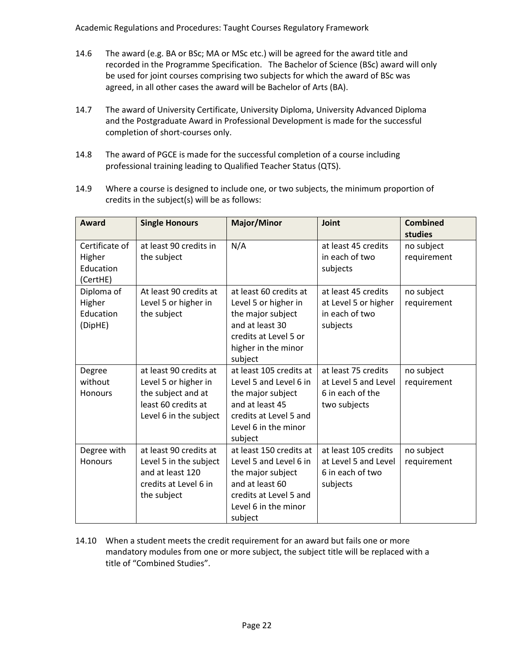- 14.6 The award (e.g. BA or BSc; MA or MSc etc.) will be agreed for the award title and recorded in the Programme Specification. The Bachelor of Science (BSc) award will only be used for joint courses comprising two subjects for which the award of BSc was agreed, in all other cases the award will be Bachelor of Arts (BA).
- 14.7 The award of University Certificate, University Diploma, University Advanced Diploma and the Postgraduate Award in Professional Development is made for the successful completion of short-courses only.
- 14.8 The award of PGCE is made for the successful completion of a course including professional training leading to Qualified Teacher Status (QTS).
- 14.9 Where a course is designed to include one, or two subjects, the minimum proportion of credits in the subject(s) will be as follows:

| Award                                             | <b>Single Honours</b>                                                                                                 | <b>Major/Minor</b>                                                                                                                                     | Joint                                                                           | <b>Combined</b><br>studies |
|---------------------------------------------------|-----------------------------------------------------------------------------------------------------------------------|--------------------------------------------------------------------------------------------------------------------------------------------------------|---------------------------------------------------------------------------------|----------------------------|
| Certificate of<br>Higher<br>Education<br>(CertHE) | at least 90 credits in<br>the subject                                                                                 | N/A                                                                                                                                                    | at least 45 credits<br>in each of two<br>subjects                               | no subject<br>requirement  |
| Diploma of<br>Higher<br>Education<br>(DipHE)      | At least 90 credits at<br>Level 5 or higher in<br>the subject                                                         | at least 60 credits at<br>Level 5 or higher in<br>the major subject<br>and at least 30<br>credits at Level 5 or<br>higher in the minor<br>subject      | at least 45 credits<br>at Level 5 or higher<br>in each of two<br>subjects       | no subject<br>requirement  |
| Degree<br>without<br><b>Honours</b>               | at least 90 credits at<br>Level 5 or higher in<br>the subject and at<br>least 60 credits at<br>Level 6 in the subject | at least 105 credits at<br>Level 5 and Level 6 in<br>the major subject<br>and at least 45<br>credits at Level 5 and<br>Level 6 in the minor<br>subject | at least 75 credits<br>at Level 5 and Level<br>6 in each of the<br>two subjects | no subject<br>requirement  |
| Degree with<br>Honours                            | at least 90 credits at<br>Level 5 in the subject<br>and at least 120<br>credits at Level 6 in<br>the subject          | at least 150 credits at<br>Level 5 and Level 6 in<br>the major subject<br>and at least 60<br>credits at Level 5 and<br>Level 6 in the minor<br>subject | at least 105 credits<br>at Level 5 and Level<br>6 in each of two<br>subjects    | no subject<br>requirement  |

14.10 When a student meets the credit requirement for an award but fails one or more mandatory modules from one or more subject, the subject title will be replaced with a title of "Combined Studies".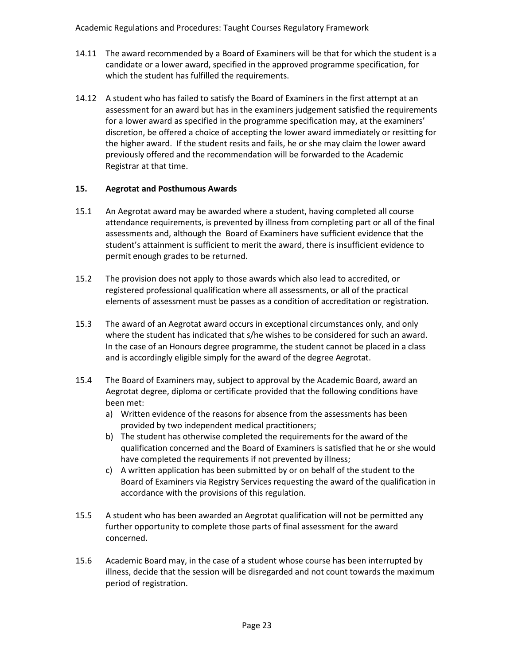- 14.11 The award recommended by a Board of Examiners will be that for which the student is a candidate or a lower award, specified in the approved programme specification, for which the student has fulfilled the requirements.
- 14.12 A student who has failed to satisfy the Board of Examiners in the first attempt at an assessment for an award but has in the examiners judgement satisfied the requirements for a lower award as specified in the programme specification may, at the examiners' discretion, be offered a choice of accepting the lower award immediately or resitting for the higher award. If the student resits and fails, he or she may claim the lower award previously offered and the recommendation will be forwarded to the Academic Registrar at that time.

### **15. Aegrotat and Posthumous Awards**

- 15.1 An Aegrotat award may be awarded where a student, having completed all course attendance requirements, is prevented by illness from completing part or all of the final assessments and, although the Board of Examiners have sufficient evidence that the student's attainment is sufficient to merit the award, there is insufficient evidence to permit enough grades to be returned.
- 15.2 The provision does not apply to those awards which also lead to accredited, or registered professional qualification where all assessments, or all of the practical elements of assessment must be passes as a condition of accreditation or registration.
- 15.3 The award of an Aegrotat award occurs in exceptional circumstances only, and only where the student has indicated that s/he wishes to be considered for such an award. In the case of an Honours degree programme, the student cannot be placed in a class and is accordingly eligible simply for the award of the degree Aegrotat.
- 15.4 The Board of Examiners may, subject to approval by the Academic Board, award an Aegrotat degree, diploma or certificate provided that the following conditions have been met:
	- a) Written evidence of the reasons for absence from the assessments has been provided by two independent medical practitioners;
	- b) The student has otherwise completed the requirements for the award of the qualification concerned and the Board of Examiners is satisfied that he or she would have completed the requirements if not prevented by illness;
	- c) A written application has been submitted by or on behalf of the student to the Board of Examiners via Registry Services requesting the award of the qualification in accordance with the provisions of this regulation.
- 15.5 A student who has been awarded an Aegrotat qualification will not be permitted any further opportunity to complete those parts of final assessment for the award concerned.
- 15.6 Academic Board may, in the case of a student whose course has been interrupted by illness, decide that the session will be disregarded and not count towards the maximum period of registration.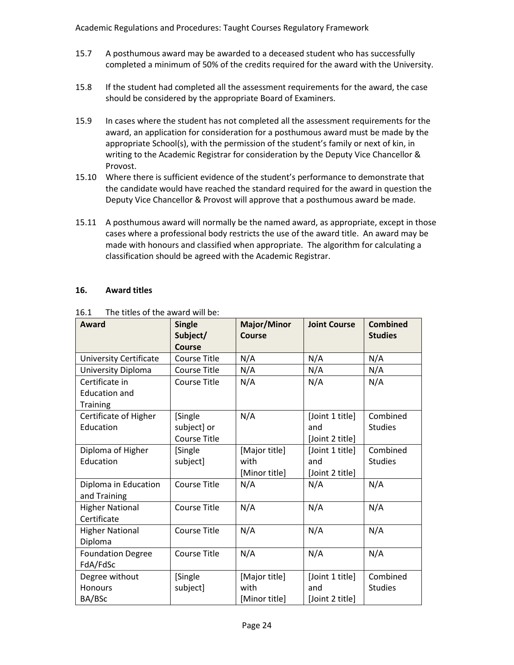- 15.7 A posthumous award may be awarded to a deceased student who has successfully completed a minimum of 50% of the credits required for the award with the University.
- 15.8 If the student had completed all the assessment requirements for the award, the case should be considered by the appropriate Board of Examiners.
- 15.9 In cases where the student has not completed all the assessment requirements for the award, an application for consideration for a posthumous award must be made by the appropriate School(s), with the permission of the student's family or next of kin, in writing to the Academic Registrar for consideration by the Deputy Vice Chancellor & Provost.
- 15.10 Where there is sufficient evidence of the student's performance to demonstrate that the candidate would have reached the standard required for the award in question the Deputy Vice Chancellor & Provost will approve that a posthumous award be made.
- 15.11 A posthumous award will normally be the named award, as appropriate, except in those cases where a professional body restricts the use of the award title. An award may be made with honours and classified when appropriate. The algorithm for calculating a classification should be agreed with the Academic Registrar.

### **16. Award titles**

| Award                         | <b>Single</b><br>Subject/<br><b>Course</b> | <b>Major/Minor</b><br>Course | <b>Joint Course</b> | <b>Combined</b><br><b>Studies</b> |
|-------------------------------|--------------------------------------------|------------------------------|---------------------|-----------------------------------|
| <b>University Certificate</b> | <b>Course Title</b>                        | N/A                          | N/A                 | N/A                               |
| University Diploma            | <b>Course Title</b>                        | N/A                          | N/A                 | N/A                               |
| Certificate in                | <b>Course Title</b>                        | N/A                          | N/A                 | N/A                               |
| <b>Education and</b>          |                                            |                              |                     |                                   |
| <b>Training</b>               |                                            |                              |                     |                                   |
| Certificate of Higher         | [Single                                    | N/A                          | [Joint 1 title]     | Combined                          |
| Education                     | subject] or                                |                              | and                 | <b>Studies</b>                    |
|                               | <b>Course Title</b>                        |                              | [Joint 2 title]     |                                   |
| Diploma of Higher             | [Single                                    | [Major title]                | [Joint 1 title]     | Combined                          |
| Education                     | subject]                                   | with                         | and                 | <b>Studies</b>                    |
|                               |                                            | [Minor title]                | [Joint 2 title]     |                                   |
| Diploma in Education          | <b>Course Title</b>                        | N/A                          | N/A                 | N/A                               |
| and Training                  |                                            |                              |                     |                                   |
| <b>Higher National</b>        | <b>Course Title</b>                        | N/A                          | N/A                 | N/A                               |
| Certificate                   |                                            |                              |                     |                                   |
| <b>Higher National</b>        | <b>Course Title</b>                        | N/A                          | N/A                 | N/A                               |
| Diploma                       |                                            |                              |                     |                                   |
| <b>Foundation Degree</b>      | <b>Course Title</b>                        | N/A                          | N/A                 | N/A                               |
| FdA/FdSc                      |                                            |                              |                     |                                   |
| Degree without                | [Single                                    | [Major title]                | [Joint 1 title]     | Combined                          |
| Honours                       | subject]                                   | with                         | and                 | <b>Studies</b>                    |
| BA/BSc                        |                                            | [Minor title]                | [Joint 2 title]     |                                   |

16.1 The titles of the award will be: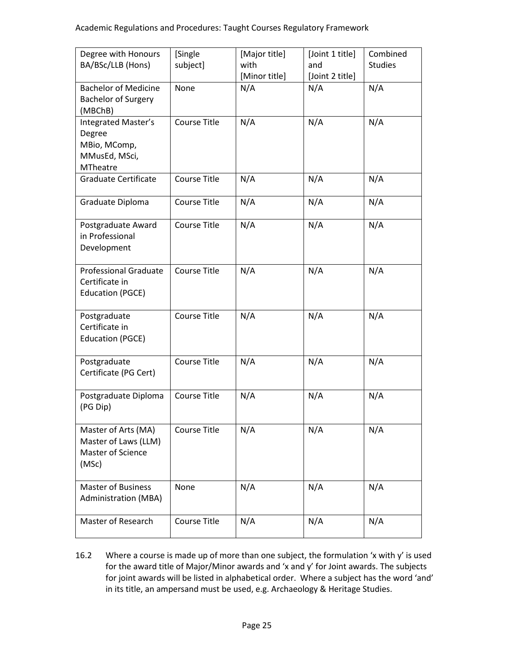| Degree with Honours          | [Single             | [Major title] | [Joint 1 title] | Combined       |
|------------------------------|---------------------|---------------|-----------------|----------------|
| BA/BSc/LLB (Hons)            | subject]            | with          | and             | <b>Studies</b> |
|                              |                     | [Minor title] | [Joint 2 title] |                |
| <b>Bachelor of Medicine</b>  | None                | N/A           | N/A             | N/A            |
| <b>Bachelor of Surgery</b>   |                     |               |                 |                |
| (MBChB)                      |                     |               |                 |                |
| Integrated Master's          | <b>Course Title</b> | N/A           | N/A             | N/A            |
| Degree                       |                     |               |                 |                |
| MBio, MComp,                 |                     |               |                 |                |
| MMusEd, MSci,                |                     |               |                 |                |
| <b>MTheatre</b>              |                     |               |                 |                |
| <b>Graduate Certificate</b>  | <b>Course Title</b> | N/A           | N/A             | N/A            |
|                              |                     |               |                 |                |
| Graduate Diploma             | <b>Course Title</b> | N/A           | N/A             | N/A            |
|                              |                     |               |                 |                |
| Postgraduate Award           | <b>Course Title</b> | N/A           | N/A             | N/A            |
| in Professional              |                     |               |                 |                |
| Development                  |                     |               |                 |                |
|                              |                     |               |                 |                |
| <b>Professional Graduate</b> | <b>Course Title</b> | N/A           | N/A             | N/A            |
| Certificate in               |                     |               |                 |                |
| <b>Education (PGCE)</b>      |                     |               |                 |                |
|                              |                     |               |                 |                |
| Postgraduate                 | <b>Course Title</b> | N/A           | N/A             | N/A            |
| Certificate in               |                     |               |                 |                |
| <b>Education (PGCE)</b>      |                     |               |                 |                |
|                              |                     |               |                 |                |
| Postgraduate                 | Course Title        | N/A           | N/A             | N/A            |
| Certificate (PG Cert)        |                     |               |                 |                |
|                              |                     |               |                 |                |
| Postgraduate Diploma         | <b>Course Title</b> | N/A           | N/A             | N/A            |
| (PG Dip)                     |                     |               |                 |                |
|                              |                     |               |                 |                |
| Master of Arts (MA)          | Course Title        | N/A           | N/A             | N/A            |
| Master of Laws (LLM)         |                     |               |                 |                |
| <b>Master of Science</b>     |                     |               |                 |                |
| (MSc)                        |                     |               |                 |                |
|                              |                     |               |                 |                |
| <b>Master of Business</b>    | None                | N/A           | N/A             | N/A            |
| <b>Administration (MBA)</b>  |                     |               |                 |                |
|                              |                     |               |                 |                |
| Master of Research           | Course Title        | N/A           | N/A             | N/A            |
|                              |                     |               |                 |                |

16.2 Where a course is made up of more than one subject, the formulation 'x with y' is used for the award title of Major/Minor awards and 'x and y' for Joint awards. The subjects for joint awards will be listed in alphabetical order. Where a subject has the word 'and' in its title, an ampersand must be used, e.g. Archaeology & Heritage Studies.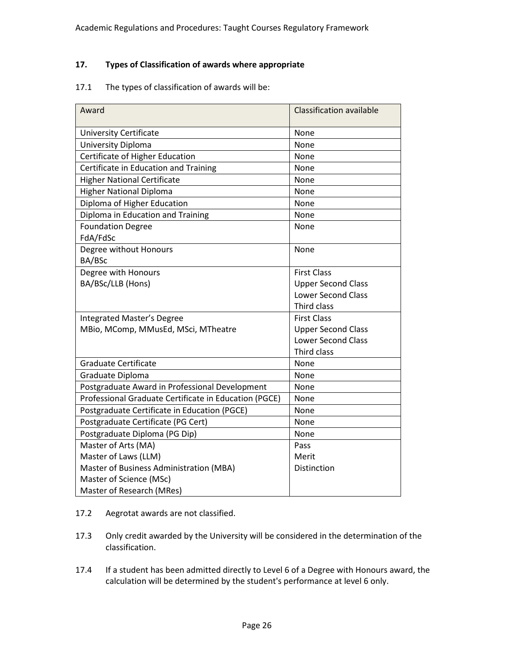## **17. Types of Classification of awards where appropriate**

#### 17.1 The types of classification of awards will be:

| Award                                                 | <b>Classification available</b> |
|-------------------------------------------------------|---------------------------------|
| <b>University Certificate</b>                         | None                            |
| University Diploma                                    | None                            |
| Certificate of Higher Education                       | None                            |
| Certificate in Education and Training                 | None                            |
| <b>Higher National Certificate</b>                    | None                            |
| <b>Higher National Diploma</b>                        | None                            |
| Diploma of Higher Education                           | None                            |
| Diploma in Education and Training                     | None                            |
| <b>Foundation Degree</b>                              | None                            |
| FdA/FdSc                                              |                                 |
| Degree without Honours                                | None                            |
| BA/BSc                                                |                                 |
| Degree with Honours                                   | <b>First Class</b>              |
| BA/BSc/LLB (Hons)                                     | <b>Upper Second Class</b>       |
|                                                       | <b>Lower Second Class</b>       |
|                                                       | <b>Third class</b>              |
| Integrated Master's Degree                            | <b>First Class</b>              |
| MBio, MComp, MMusEd, MSci, MTheatre                   | <b>Upper Second Class</b>       |
|                                                       | <b>Lower Second Class</b>       |
|                                                       | Third class                     |
| <b>Graduate Certificate</b>                           | None                            |
| Graduate Diploma                                      | None                            |
| Postgraduate Award in Professional Development        | None                            |
| Professional Graduate Certificate in Education (PGCE) | None                            |
| Postgraduate Certificate in Education (PGCE)          | None                            |
| Postgraduate Certificate (PG Cert)                    | None                            |
| Postgraduate Diploma (PG Dip)                         | None                            |
| Master of Arts (MA)                                   | Pass                            |
| Master of Laws (LLM)                                  | Merit                           |
| Master of Business Administration (MBA)               | Distinction                     |
| Master of Science (MSc)                               |                                 |
| Master of Research (MRes)                             |                                 |

- 17.2 Aegrotat awards are not classified.
- 17.3 Only credit awarded by the University will be considered in the determination of the classification.
- 17.4 If a student has been admitted directly to Level 6 of a Degree with Honours award, the calculation will be determined by the student's performance at level 6 only.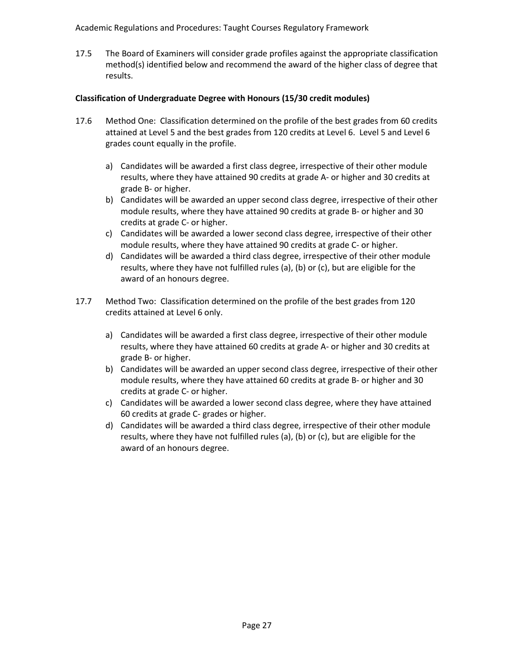17.5 The Board of Examiners will consider grade profiles against the appropriate classification method(s) identified below and recommend the award of the higher class of degree that results.

## **Classification of Undergraduate Degree with Honours (15/30 credit modules)**

- 17.6 Method One: Classification determined on the profile of the best grades from 60 credits attained at Level 5 and the best grades from 120 credits at Level 6. Level 5 and Level 6 grades count equally in the profile.
	- a) Candidates will be awarded a first class degree, irrespective of their other module results, where they have attained 90 credits at grade A- or higher and 30 credits at grade B- or higher.
	- b) Candidates will be awarded an upper second class degree, irrespective of their other module results, where they have attained 90 credits at grade B- or higher and 30 credits at grade C- or higher.
	- c) Candidates will be awarded a lower second class degree, irrespective of their other module results, where they have attained 90 credits at grade C- or higher.
	- d) Candidates will be awarded a third class degree, irrespective of their other module results, where they have not fulfilled rules (a), (b) or (c), but are eligible for the award of an honours degree.
- 17.7 Method Two: Classification determined on the profile of the best grades from 120 credits attained at Level 6 only.
	- a) Candidates will be awarded a first class degree, irrespective of their other module results, where they have attained 60 credits at grade A- or higher and 30 credits at grade B- or higher.
	- b) Candidates will be awarded an upper second class degree, irrespective of their other module results, where they have attained 60 credits at grade B- or higher and 30 credits at grade C- or higher.
	- c) Candidates will be awarded a lower second class degree, where they have attained 60 credits at grade C- grades or higher.
	- d) Candidates will be awarded a third class degree, irrespective of their other module results, where they have not fulfilled rules (a), (b) or (c), but are eligible for the award of an honours degree.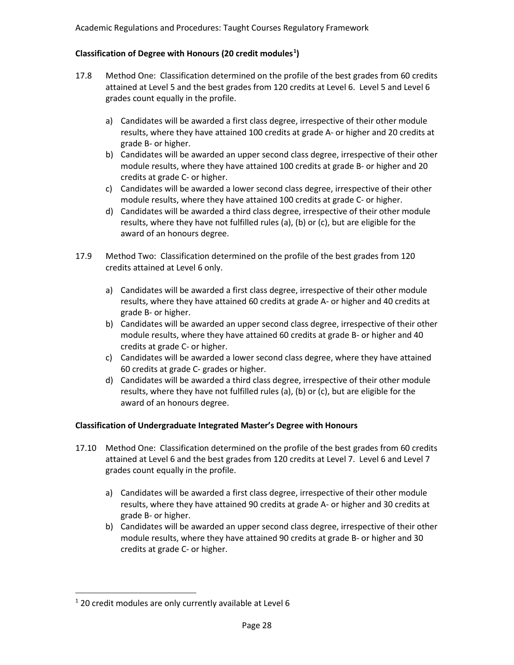## **Classification of Degree with Honours (20 credit modules[1](#page-27-0) )**

- 17.8 Method One: Classification determined on the profile of the best grades from 60 credits attained at Level 5 and the best grades from 120 credits at Level 6. Level 5 and Level 6 grades count equally in the profile.
	- a) Candidates will be awarded a first class degree, irrespective of their other module results, where they have attained 100 credits at grade A- or higher and 20 credits at grade B- or higher.
	- b) Candidates will be awarded an upper second class degree, irrespective of their other module results, where they have attained 100 credits at grade B- or higher and 20 credits at grade C- or higher.
	- c) Candidates will be awarded a lower second class degree, irrespective of their other module results, where they have attained 100 credits at grade C- or higher.
	- d) Candidates will be awarded a third class degree, irrespective of their other module results, where they have not fulfilled rules (a), (b) or (c), but are eligible for the award of an honours degree.
- 17.9 Method Two: Classification determined on the profile of the best grades from 120 credits attained at Level 6 only.
	- a) Candidates will be awarded a first class degree, irrespective of their other module results, where they have attained 60 credits at grade A- or higher and 40 credits at grade B- or higher.
	- b) Candidates will be awarded an upper second class degree, irrespective of their other module results, where they have attained 60 credits at grade B- or higher and 40 credits at grade C- or higher.
	- c) Candidates will be awarded a lower second class degree, where they have attained 60 credits at grade C- grades or higher.
	- d) Candidates will be awarded a third class degree, irrespective of their other module results, where they have not fulfilled rules (a), (b) or (c), but are eligible for the award of an honours degree.

## **Classification of Undergraduate Integrated Master's Degree with Honours**

- 17.10 Method One: Classification determined on the profile of the best grades from 60 credits attained at Level 6 and the best grades from 120 credits at Level 7. Level 6 and Level 7 grades count equally in the profile.
	- a) Candidates will be awarded a first class degree, irrespective of their other module results, where they have attained 90 credits at grade A- or higher and 30 credits at grade B- or higher.
	- b) Candidates will be awarded an upper second class degree, irrespective of their other module results, where they have attained 90 credits at grade B- or higher and 30 credits at grade C- or higher.

<span id="page-27-0"></span> $1$  20 credit modules are only currently available at Level 6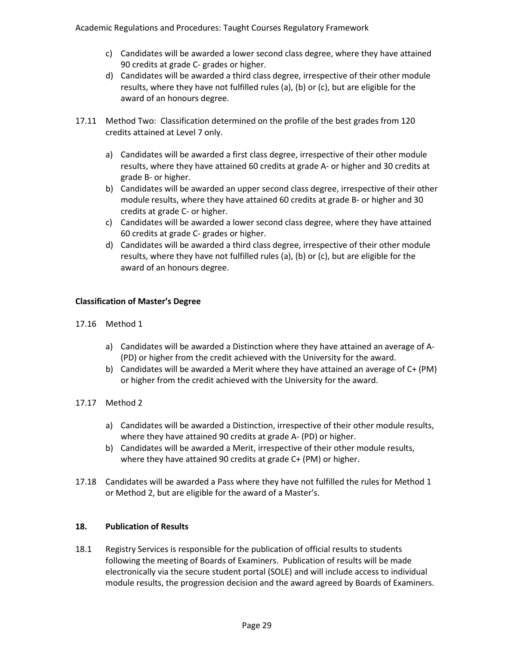- c) Candidates will be awarded a lower second class degree, where they have attained 90 credits at grade C- grades or higher.
- d) Candidates will be awarded a third class degree, irrespective of their other module results, where they have not fulfilled rules (a), (b) or (c), but are eligible for the award of an honours degree.
- 17.11 Method Two: Classification determined on the profile of the best grades from 120 credits attained at Level 7 only.
	- a) Candidates will be awarded a first class degree, irrespective of their other module results, where they have attained 60 credits at grade A- or higher and 30 credits at grade B- or higher.
	- b) Candidates will be awarded an upper second class degree, irrespective of their other module results, where they have attained 60 credits at grade B- or higher and 30 credits at grade C- or higher.
	- c) Candidates will be awarded a lower second class degree, where they have attained 60 credits at grade C- grades or higher.
	- d) Candidates will be awarded a third class degree, irrespective of their other module results, where they have not fulfilled rules (a), (b) or (c), but are eligible for the award of an honours degree.

## **Classification of Master's Degree**

- 17.16 Method 1
	- a) Candidates will be awarded a Distinction where they have attained an average of A- (PD) or higher from the credit achieved with the University for the award.
	- b) Candidates will be awarded a Merit where they have attained an average of C+ (PM) or higher from the credit achieved with the University for the award.
- 17.17 Method 2
	- a) Candidates will be awarded a Distinction, irrespective of their other module results, where they have attained 90 credits at grade A- (PD) or higher.
	- b) Candidates will be awarded a Merit, irrespective of their other module results, where they have attained 90 credits at grade C+ (PM) or higher.
- 17.18 Candidates will be awarded a Pass where they have not fulfilled the rules for Method 1 or Method 2, but are eligible for the award of a Master's.

#### **18. Publication of Results**

18.1 Registry Services is responsible for the publication of official results to students following the meeting of Boards of Examiners. Publication of results will be made electronically via the secure student portal (SOLE) and will include access to individual module results, the progression decision and the award agreed by Boards of Examiners.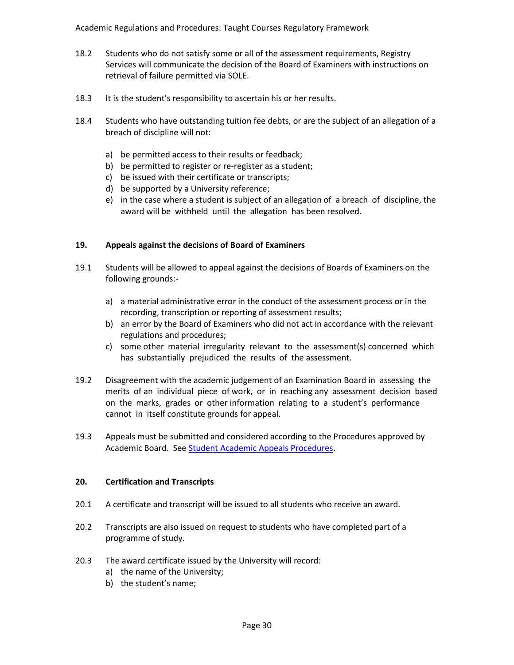- 18.2 Students who do not satisfy some or all of the assessment requirements, Registry Services will communicate the decision of the Board of Examiners with instructions on retrieval of failure permitted via SOLE.
- 18.3 It is the student's responsibility to ascertain his or her results.
- 18.4 Students who have outstanding tuition fee debts, or are the subject of an allegation of a breach of discipline will not:
	- a) be permitted access to their results or feedback;
	- b) be permitted to register or re-register as a student;
	- c) be issued with their certificate or transcripts;
	- d) be supported by a University reference;
	- e) in the case where a student is subject of an allegation of a breach of discipline, the award will be withheld until the allegation has been resolved.

#### **19. Appeals against the decisions of Board of Examiners**

- 19.1 Students will be allowed to appeal against the decisions of Boards of Examiners on the following grounds:
	- a) a material administrative error in the conduct of the assessment process or in the recording, transcription or reporting of assessment results;
	- b) an error by the Board of Examiners who did not act in accordance with the relevant regulations and procedures;
	- c) some other material irregularity relevant to the assessment(s) concerned which has substantially prejudiced the results of the assessment.
- 19.2 Disagreement with the academic judgement of an Examination Board in assessing the merits of an individual piece of work, or in reaching any assessment decision based on the marks, grades or other information relating to a student's performance cannot in itself constitute grounds for appeal.
- 19.3 Appeals must be submitted and considered according to the Procedures approved by Academic Board. Se[e Student Academic Appeals Procedures.](http://www.worcester.ac.uk/registryservices/documents/ProceduresforAppeals.pdf)

#### **20. Certification and Transcripts**

- 20.1 A certificate and transcript will be issued to all students who receive an award.
- 20.2 Transcripts are also issued on request to students who have completed part of a programme of study.
- 20.3 The award certificate issued by the University will record:
	- a) the name of the University;
	- b) the student's name;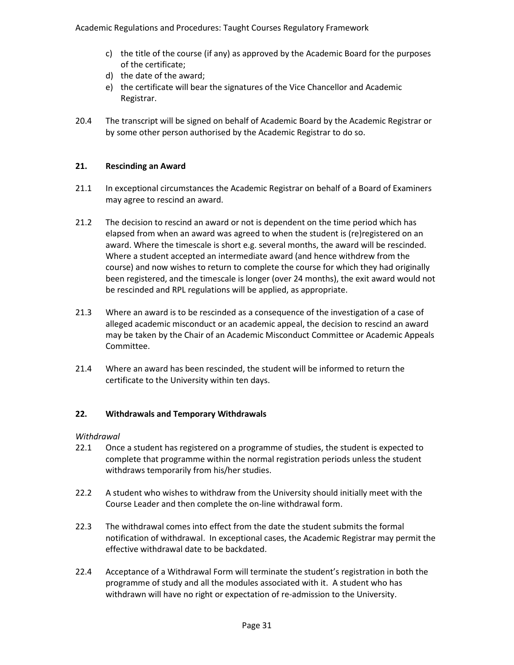- c) the title of the course (if any) as approved by the Academic Board for the purposes of the certificate;
- d) the date of the award;
- e) the certificate will bear the signatures of the Vice Chancellor and Academic Registrar.
- 20.4 The transcript will be signed on behalf of Academic Board by the Academic Registrar or by some other person authorised by the Academic Registrar to do so.

## **21. Rescinding an Award**

- 21.1 In exceptional circumstances the Academic Registrar on behalf of a Board of Examiners may agree to rescind an award.
- 21.2 The decision to rescind an award or not is dependent on the time period which has elapsed from when an award was agreed to when the student is (re)registered on an award. Where the timescale is short e.g. several months, the award will be rescinded. Where a student accepted an intermediate award (and hence withdrew from the course) and now wishes to return to complete the course for which they had originally been registered, and the timescale is longer (over 24 months), the exit award would not be rescinded and RPL regulations will be applied, as appropriate.
- 21.3 Where an award is to be rescinded as a consequence of the investigation of a case of alleged academic misconduct or an academic appeal, the decision to rescind an award may be taken by the Chair of an Academic Misconduct Committee or Academic Appeals Committee.
- 21.4 Where an award has been rescinded, the student will be informed to return the certificate to the University within ten days.

## **22. Withdrawals and Temporary Withdrawals**

## *Withdrawal*

- 22.1 Once a student has registered on a programme of studies, the student is expected to complete that programme within the normal registration periods unless the student withdraws temporarily from his/her studies.
- 22.2 A student who wishes to withdraw from the University should initially meet with the Course Leader and then complete the on-line withdrawal form.
- 22.3 The withdrawal comes into effect from the date the student submits the formal notification of withdrawal. In exceptional cases, the Academic Registrar may permit the effective withdrawal date to be backdated.
- 22.4 Acceptance of a Withdrawal Form will terminate the student's registration in both the programme of study and all the modules associated with it. A student who has withdrawn will have no right or expectation of re-admission to the University.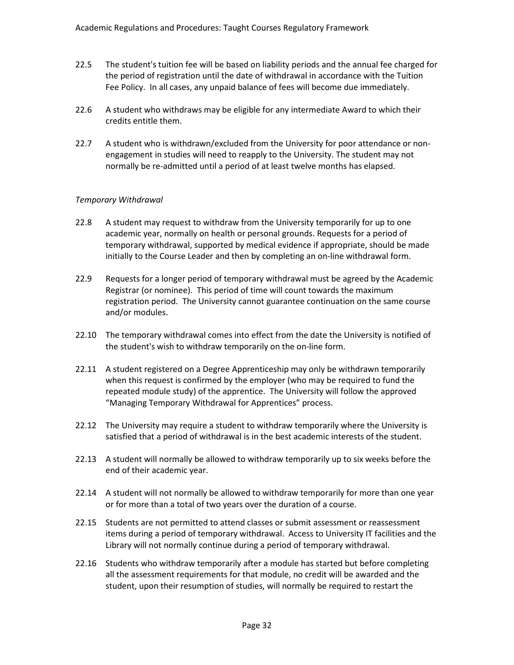- 22.5 The student's tuition fee will be based on liability periods and the annual fee charged for the period of registration until the date of withdrawal in accordance with the Tuition Fee Policy. In all cases, any unpaid balance of fees will become due immediately.
- 22.6 A student who withdraws may be eligible for any intermediate Award to which their credits entitle them.
- 22.7 A student who is withdrawn/excluded from the University for poor attendance or nonengagement in studies will need to reapply to the University. The student may not normally be re-admitted until a period of at least twelve months has elapsed.

### *Temporary Withdrawal*

- 22.8 A student may request to withdraw from the University temporarily for up to one academic year, normally on health or personal grounds. Requests for a period of temporary withdrawal, supported by medical evidence if appropriate, should be made initially to the Course Leader and then by completing an on-line withdrawal form.
- 22.9 Requests for a longer period of temporary withdrawal must be agreed by the Academic Registrar (or nominee). This period of time will count towards the maximum registration period. The University cannot guarantee continuation on the same course and/or modules.
- 22.10 The temporary withdrawal comes into effect from the date the University is notified of the student's wish to withdraw temporarily on the on-line form.
- 22.11 A student registered on a Degree Apprenticeship may only be withdrawn temporarily when this request is confirmed by the employer (who may be required to fund the repeated module study) of the apprentice. The University will follow the approved "Managing Temporary Withdrawal for Apprentices" process.
- 22.12 The University may require a student to withdraw temporarily where the University is satisfied that a period of withdrawal is in the best academic interests of the student.
- 22.13 A student will normally be allowed to withdraw temporarily up to six weeks before the end of their academic year.
- 22.14 A student will not normally be allowed to withdraw temporarily for more than one year or for more than a total of two years over the duration of a course.
- 22.15 Students are not permitted to attend classes or submit assessment or reassessment items during a period of temporary withdrawal. Access to University IT facilities and the Library will not normally continue during a period of temporary withdrawal.
- 22.16 Students who withdraw temporarily after a module has started but before completing all the assessment requirements for that module, no credit will be awarded and the student, upon their resumption of studies, will normally be required to restart the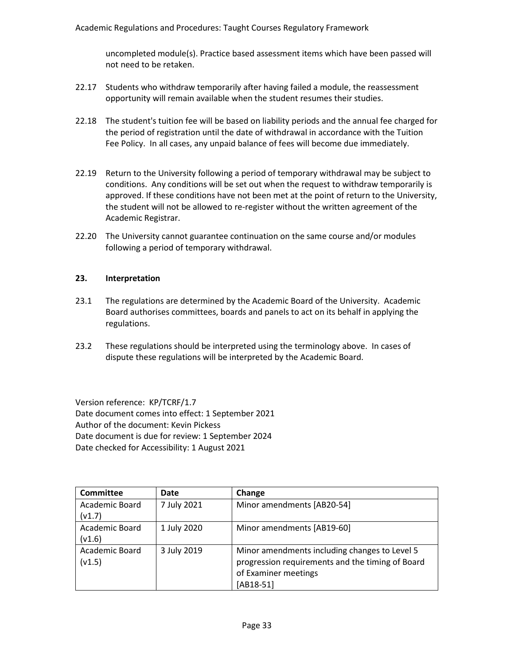uncompleted module(s). Practice based assessment items which have been passed will not need to be retaken.

- 22.17 Students who withdraw temporarily after having failed a module, the reassessment opportunity will remain available when the student resumes their studies.
- 22.18 The student's tuition fee will be based on liability periods and the annual fee charged for the period of registration until the date of withdrawal in accordance with the Tuition Fee Policy. In all cases, any unpaid balance of fees will become due immediately.
- 22.19 Return to the University following a period of temporary withdrawal may be subject to conditions. Any conditions will be set out when the request to withdraw temporarily is approved. If these conditions have not been met at the point of return to the University, the student will not be allowed to re-register without the written agreement of the Academic Registrar.
- 22.20 The University cannot guarantee continuation on the same course and/or modules following a period of temporary withdrawal.

#### **23. Interpretation**

- 23.1 The regulations are determined by the Academic Board of the University. Academic Board authorises committees, boards and panels to act on its behalf in applying the regulations.
- 23.2 These regulations should be interpreted using the terminology above. In cases of dispute these regulations will be interpreted by the Academic Board.

Version reference: KP/TCRF/1.7 Date document comes into effect: 1 September 2021 Author of the document: Kevin Pickess Date document is due for review: 1 September 2024 Date checked for Accessibility: 1 August 2021

| <b>Committee</b> | Date        | Change                                           |
|------------------|-------------|--------------------------------------------------|
| Academic Board   | 7 July 2021 | Minor amendments [AB20-54]                       |
| (v1.7)           |             |                                                  |
| Academic Board   | 1 July 2020 | Minor amendments [AB19-60]                       |
| (v1.6)           |             |                                                  |
| Academic Board   | 3 July 2019 | Minor amendments including changes to Level 5    |
| (v1.5)           |             | progression requirements and the timing of Board |
|                  |             | of Examiner meetings                             |
|                  |             | $[AB18-51]$                                      |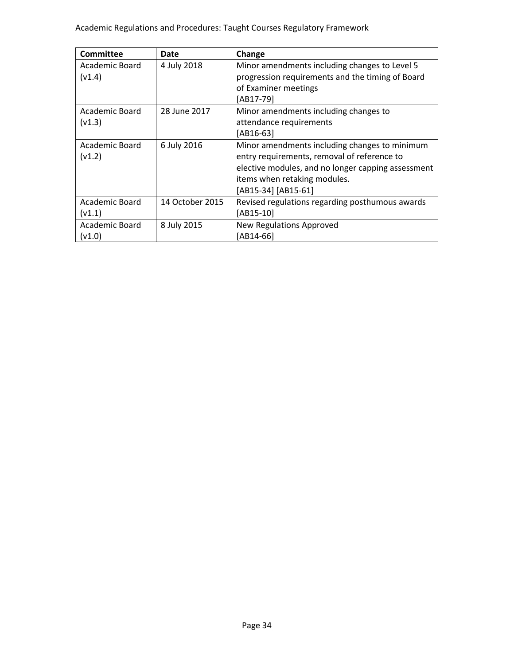| Committee      | <b>Date</b>     | Change                                             |
|----------------|-----------------|----------------------------------------------------|
| Academic Board | 4 July 2018     | Minor amendments including changes to Level 5      |
| (v1.4)         |                 | progression requirements and the timing of Board   |
|                |                 | of Examiner meetings                               |
|                |                 | [AB17-79]                                          |
| Academic Board | 28 June 2017    | Minor amendments including changes to              |
| (v1.3)         |                 | attendance requirements                            |
|                |                 | [AB16-63]                                          |
| Academic Board | 6 July 2016     | Minor amendments including changes to minimum      |
| (v1.2)         |                 | entry requirements, removal of reference to        |
|                |                 | elective modules, and no longer capping assessment |
|                |                 | items when retaking modules.                       |
|                |                 | [AB15-34] [AB15-61]                                |
| Academic Board | 14 October 2015 | Revised regulations regarding posthumous awards    |
| (v1.1)         |                 | [AB15-10]                                          |
| Academic Board | 8 July 2015     | New Regulations Approved                           |
| (v1.0)         |                 | [AB14-66]                                          |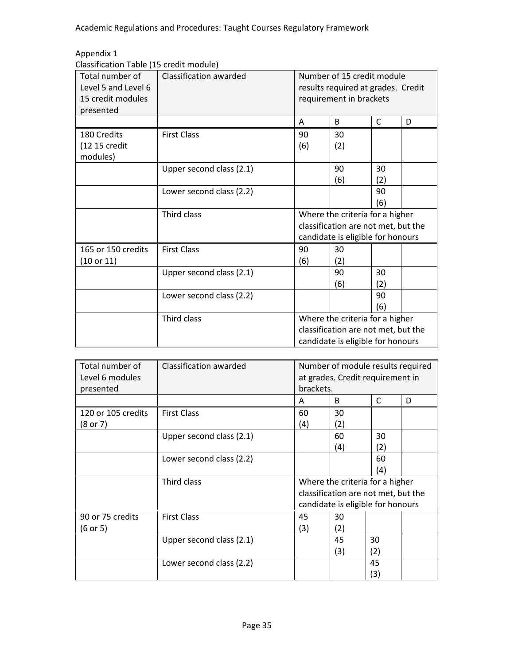# Appendix 1

| Total number of<br>Level 5 and Level 6<br>15 credit modules<br>presented | Classification awarded   | Number of 15 credit module<br>results required at grades. Credit<br>requirement in brackets |                                                                                                             |           |   |
|--------------------------------------------------------------------------|--------------------------|---------------------------------------------------------------------------------------------|-------------------------------------------------------------------------------------------------------------|-----------|---|
|                                                                          |                          | A                                                                                           | B                                                                                                           | C         | D |
| 180 Credits                                                              | <b>First Class</b>       | 90                                                                                          | 30                                                                                                          |           |   |
| (12 15 credit<br>modules)                                                |                          | (6)                                                                                         | (2)                                                                                                         |           |   |
|                                                                          | Upper second class (2.1) |                                                                                             | 90<br>(6)                                                                                                   | 30<br>(2) |   |
|                                                                          | Lower second class (2.2) |                                                                                             |                                                                                                             | 90<br>(6) |   |
|                                                                          | Third class              |                                                                                             | Where the criteria for a higher<br>classification are not met, but the<br>candidate is eligible for honours |           |   |
| 165 or 150 credits<br>(10 or 11)                                         | <b>First Class</b>       | 90<br>(6)                                                                                   | 30<br>(2)                                                                                                   |           |   |
|                                                                          | Upper second class (2.1) |                                                                                             | 90<br>(6)                                                                                                   | 30<br>(2) |   |
|                                                                          | Lower second class (2.2) |                                                                                             |                                                                                                             | 90<br>(6) |   |
|                                                                          | Third class              |                                                                                             | Where the criteria for a higher<br>classification are not met, but the<br>candidate is eligible for honours |           |   |

| Total number of<br>Level 6 modules<br>presented | Classification awarded   | Number of module results required<br>at grades. Credit requirement in<br>brackets.                          |           |           |   |
|-------------------------------------------------|--------------------------|-------------------------------------------------------------------------------------------------------------|-----------|-----------|---|
|                                                 |                          | A                                                                                                           | B         | C         | D |
| 120 or 105 credits<br>(8 or 7)                  | <b>First Class</b>       | 60<br>(4)                                                                                                   | 30<br>(2) |           |   |
|                                                 | Upper second class (2.1) |                                                                                                             | 60<br>(4) | 30<br>(2) |   |
|                                                 | Lower second class (2.2) |                                                                                                             |           | 60<br>(4) |   |
|                                                 | Third class              | Where the criteria for a higher<br>classification are not met, but the<br>candidate is eligible for honours |           |           |   |
| 90 or 75 credits<br>(6 or 5)                    | <b>First Class</b>       | 45<br>(3)                                                                                                   | 30<br>(2) |           |   |
|                                                 | Upper second class (2.1) |                                                                                                             | 45<br>(3) | 30<br>(2) |   |
|                                                 | Lower second class (2.2) |                                                                                                             |           | 45<br>(3) |   |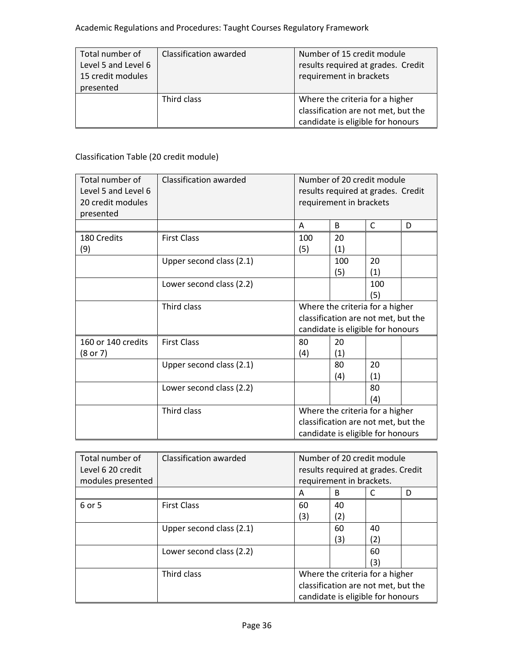| Total number of<br>Level 5 and Level 6<br>15 credit modules<br>presented | Classification awarded | Number of 15 credit module<br>results required at grades. Credit<br>requirement in brackets                 |
|--------------------------------------------------------------------------|------------------------|-------------------------------------------------------------------------------------------------------------|
|                                                                          | Third class            | Where the criteria for a higher<br>classification are not met, but the<br>candidate is eligible for honours |

# Classification Table (20 credit module)

| Total number of<br>Level 5 and Level 6<br>20 credit modules<br>presented | Classification awarded   | Number of 20 credit module<br>results required at grades. Credit<br>requirement in brackets                 |            |                                                                                                             |   |
|--------------------------------------------------------------------------|--------------------------|-------------------------------------------------------------------------------------------------------------|------------|-------------------------------------------------------------------------------------------------------------|---|
|                                                                          |                          | A                                                                                                           | B          | C                                                                                                           | D |
| 180 Credits<br>(9)                                                       | <b>First Class</b>       | 100<br>(5)                                                                                                  | 20<br>(1)  |                                                                                                             |   |
|                                                                          | Upper second class (2.1) |                                                                                                             | 100<br>(5) | 20<br>(1)                                                                                                   |   |
|                                                                          | Lower second class (2.2) |                                                                                                             |            | 100<br>(5)                                                                                                  |   |
|                                                                          | Third class              | Where the criteria for a higher<br>classification are not met, but the<br>candidate is eligible for honours |            |                                                                                                             |   |
| 160 or 140 credits<br>(8 or 7)                                           | <b>First Class</b>       | 80<br>(4)                                                                                                   | 20<br>(1)  |                                                                                                             |   |
|                                                                          | Upper second class (2.1) |                                                                                                             | 80<br>(4)  | 20<br>(1)                                                                                                   |   |
|                                                                          | Lower second class (2.2) |                                                                                                             |            | 80<br>(4)                                                                                                   |   |
|                                                                          | Third class              |                                                                                                             |            | Where the criteria for a higher<br>classification are not met, but the<br>candidate is eligible for honours |   |

| Total number of<br>Level 6 20 credit<br>modules presented | Classification awarded   | Number of 20 credit module<br>results required at grades. Credit<br>requirement in brackets. |                                   |     |   |
|-----------------------------------------------------------|--------------------------|----------------------------------------------------------------------------------------------|-----------------------------------|-----|---|
|                                                           |                          | A                                                                                            | B                                 |     | D |
| 6 or 5                                                    | <b>First Class</b>       | 60                                                                                           | 40                                |     |   |
|                                                           |                          | (3)                                                                                          | (2)                               |     |   |
|                                                           | Upper second class (2.1) |                                                                                              | 60                                | 40  |   |
|                                                           |                          |                                                                                              | (3)                               | (2) |   |
|                                                           | Lower second class (2.2) |                                                                                              |                                   | 60  |   |
|                                                           |                          |                                                                                              |                                   | (3) |   |
|                                                           | Third class              | Where the criteria for a higher                                                              |                                   |     |   |
|                                                           |                          | classification are not met, but the                                                          |                                   |     |   |
|                                                           |                          |                                                                                              | candidate is eligible for honours |     |   |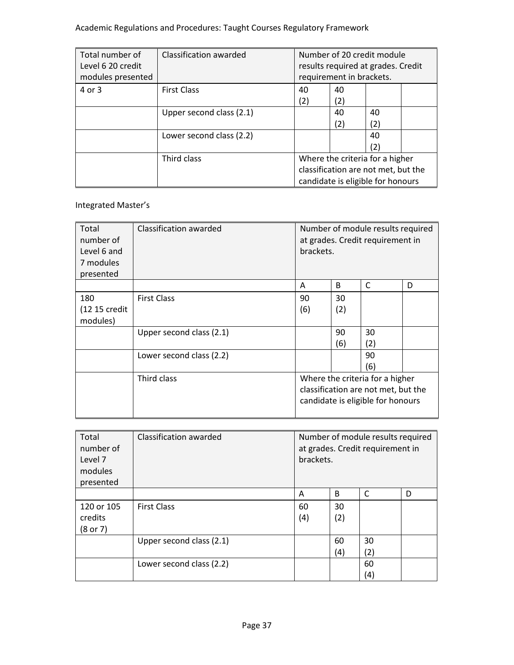| Total number of<br>Level 6 20 credit<br>modules presented | Classification awarded   |                                     | Number of 20 credit module<br>results required at grades. Credit<br>requirement in brackets. |     |  |
|-----------------------------------------------------------|--------------------------|-------------------------------------|----------------------------------------------------------------------------------------------|-----|--|
| 4 or 3                                                    | <b>First Class</b>       | 40                                  | 40                                                                                           |     |  |
|                                                           |                          | (2)                                 | (2)                                                                                          |     |  |
|                                                           | Upper second class (2.1) |                                     | 40                                                                                           | 40  |  |
|                                                           |                          |                                     | (2)                                                                                          | (2) |  |
|                                                           | Lower second class (2.2) |                                     |                                                                                              | 40  |  |
|                                                           |                          |                                     |                                                                                              | (2) |  |
|                                                           | Third class              |                                     | Where the criteria for a higher                                                              |     |  |
|                                                           |                          | classification are not met, but the |                                                                                              |     |  |
|                                                           |                          |                                     | candidate is eligible for honours                                                            |     |  |

## Integrated Master's

| Total<br>number of<br>Level 6 and<br>7 modules<br>presented | Classification awarded   | Number of module results required<br>at grades. Credit requirement in<br>brackets. |     |                                   |   |
|-------------------------------------------------------------|--------------------------|------------------------------------------------------------------------------------|-----|-----------------------------------|---|
|                                                             |                          | A                                                                                  | B   | C                                 | D |
| 180                                                         | <b>First Class</b>       | 90                                                                                 | 30  |                                   |   |
| (12 15 credit<br>modules)                                   |                          | (6)                                                                                | (2) |                                   |   |
|                                                             | Upper second class (2.1) |                                                                                    | 90  | 30                                |   |
|                                                             |                          |                                                                                    | (6) | (2)                               |   |
|                                                             | Lower second class (2.2) |                                                                                    |     | 90                                |   |
|                                                             |                          |                                                                                    |     | (6)                               |   |
|                                                             | Third class              |                                                                                    |     | Where the criteria for a higher   |   |
|                                                             |                          | classification are not met, but the                                                |     |                                   |   |
|                                                             |                          |                                                                                    |     | candidate is eligible for honours |   |

| Total<br>number of<br>Level 7<br>modules<br>presented | Classification awarded   | brackets. |           | Number of module results required<br>at grades. Credit requirement in |   |
|-------------------------------------------------------|--------------------------|-----------|-----------|-----------------------------------------------------------------------|---|
|                                                       |                          | A         | B         | C                                                                     | D |
| 120 or 105<br>credits<br>(8 or 7)                     | <b>First Class</b>       | 60<br>(4) | 30<br>(2) |                                                                       |   |
|                                                       | Upper second class (2.1) |           | 60<br>(4) | 30<br>(2)                                                             |   |
|                                                       | Lower second class (2.2) |           |           | 60<br>(4)                                                             |   |